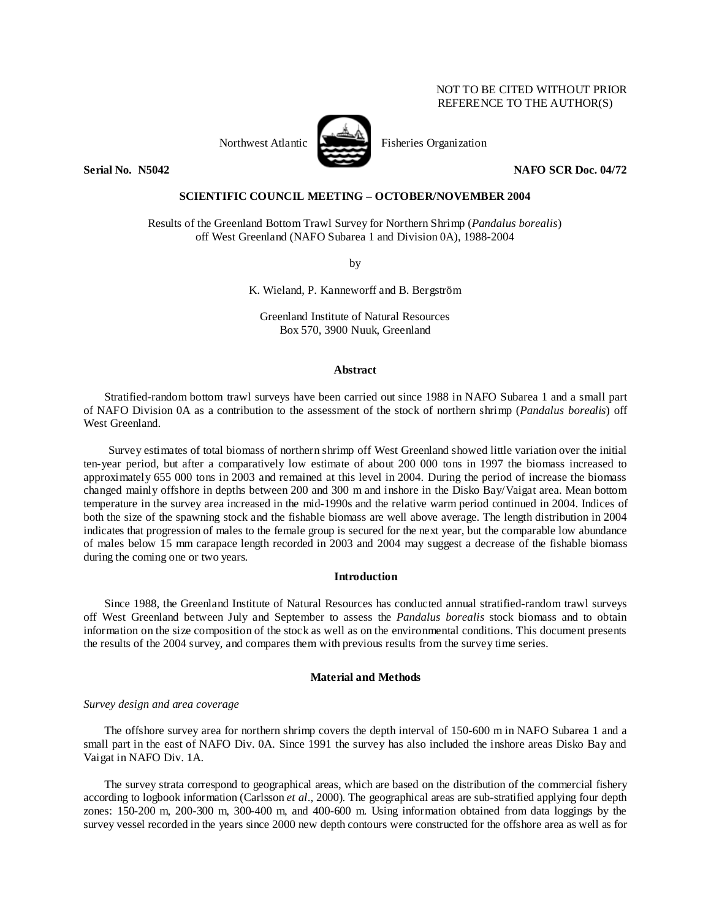# NOT TO BE CITED WITHOUT PRIOR REFERENCE TO THE AUTHOR(S)



Northwest Atlantic Fisheries Organization

**Serial No. 35042** NAFO SCR Doc. 04/72

## **SCIENTIFIC COUNCIL MEETING – OCTOBER/NOVEMBER 2004**

Results of the Greenland Bottom Trawl Survey for Northern Shrimp (*Pandalus borealis*) off West Greenland (NAFO Subarea 1 and Division 0A), 1988-2004

by

K. Wieland, P. Kanneworff and B. Bergström

Greenland Institute of Natural Resources Box 570, 3900 Nuuk, Greenland

## **Abstract**

Stratified-random bottom trawl surveys have been carried out since 1988 in NAFO Subarea 1 and a small part of NAFO Division 0A as a contribution to the assessment of the stock of northern shrimp (*Pandalus borealis*) off West Greenland.

Survey estimates of total biomass of northern shrimp off West Greenland showed little variation over the initial ten-year period, but after a comparatively low estimate of about 200 000 tons in 1997 the biomass increased to approximately 655 000 tons in 2003 and remained at this level in 2004. During the period of increase the biomass changed mainly offshore in depths between 200 and 300 m and inshore in the Disko Bay/Vaigat area. Mean bottom temperature in the survey area increased in the mid-1990s and the relative warm period continued in 2004. Indices of both the size of the spawning stock and the fishable biomass are well above average. The length distribution in 2004 indicates that progression of males to the female group is secured for the next year, but the comparable low abundance of males below 15 mm carapace length recorded in 2003 and 2004 may suggest a decrease of the fishable biomass during the coming one or two years.

## **Introduction**

Since 1988, the Greenland Institute of Natural Resources has conducted annual stratified-random trawl surveys off West Greenland between July and September to assess the *Pandalus borealis* stock biomass and to obtain information on the size composition of the stock as well as on the environmental conditions. This document presents the results of the 2004 survey, and compares them with previous results from the survey time series.

## **Material and Methods**

## *Survey design and area coverage*

The offshore survey area for northern shrimp covers the depth interval of 150-600 m in NAFO Subarea 1 and a small part in the east of NAFO Div. 0A. Since 1991 the survey has also included the inshore areas Disko Bay and Vaigat in NAFO Div. 1A.

The survey strata correspond to geographical areas, which are based on the distribution of the commercial fishery according to logbook information (Carlsson *et al*., 2000). The geographical areas are sub-stratified applying four depth zones: 150-200 m, 200-300 m, 300-400 m, and 400-600 m. Using information obtained from data loggings by the survey vessel recorded in the years since 2000 new depth contours were constructed for the offshore area as well as for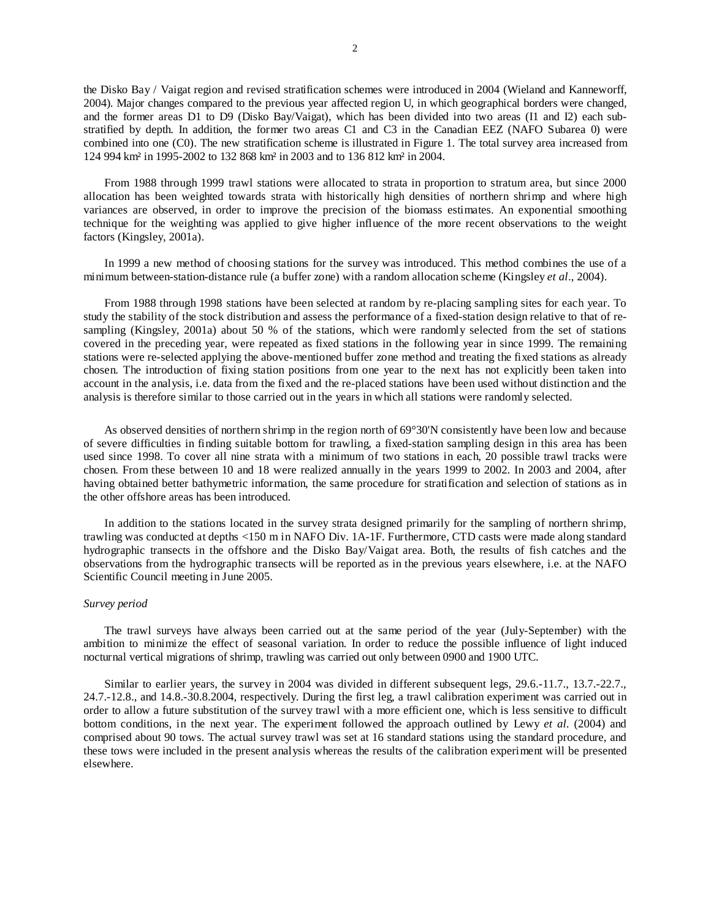the Disko Bay / Vaigat region and revised stratification schemes were introduced in 2004 (Wieland and Kanneworff, 2004). Major changes compared to the previous year affected region U, in which geographical borders were changed, and the former areas D1 to D9 (Disko Bay/Vaigat), which has been divided into two areas (I1 and I2) each substratified by depth. In addition, the former two areas C1 and C3 in the Canadian EEZ (NAFO Subarea 0) were combined into one (C0). The new stratification scheme is illustrated in Figure 1. The total survey area increased from 124 994 km² in 1995-2002 to 132 868 km² in 2003 and to 136 812 km² in 2004.

From 1988 through 1999 trawl stations were allocated to strata in proportion to stratum area, but since 2000 allocation has been weighted towards strata with historically high densities of northern shrimp and where high variances are observed, in order to improve the precision of the biomass estimates. An exponential smoothing technique for the weighting was applied to give higher influence of the more recent observations to the weight factors (Kingsley, 2001a).

In 1999 a new method of choosing stations for the survey was introduced. This method combines the use of a minimum between-station-distance rule (a buffer zone) with a random allocation scheme (Kingsley *et al*., 2004).

From 1988 through 1998 stations have been selected at random by re-placing sampling sites for each year. To study the stability of the stock distribution and assess the performance of a fixed-station design relative to that of resampling (Kingsley, 2001a) about 50 % of the stations, which were randomly selected from the set of stations covered in the preceding year, were repeated as fixed stations in the following year in since 1999. The remaining stations were re-selected applying the above-mentioned buffer zone method and treating the fixed stations as already chosen. The introduction of fixing station positions from one year to the next has not explicitly been taken into account in the analysis, i.e. data from the fixed and the re-placed stations have been used without distinction and the analysis is therefore similar to those carried out in the years in which all stations were randomly selected.

As observed densities of northern shrimp in the region north of 69°30'N consistently have been low and because of severe difficulties in finding suitable bottom for trawling, a fixed-station sampling design in this area has been used since 1998. To cover all nine strata with a minimum of two stations in each, 20 possible trawl tracks were chosen. From these between 10 and 18 were realized annually in the years 1999 to 2002. In 2003 and 2004, after having obtained better bathymetric information, the same procedure for stratification and selection of stations as in the other offshore areas has been introduced.

In addition to the stations located in the survey strata designed primarily for the sampling of northern shrimp, trawling was conducted at depths <150 m in NAFO Div. 1A-1F. Furthermore, CTD casts were made along standard hydrographic transects in the offshore and the Disko Bay/Vaigat area. Both, the results of fish catches and the observations from the hydrographic transects will be reported as in the previous years elsewhere, i.e. at the NAFO Scientific Council meeting in June 2005.

## *Survey period*

The trawl surveys have always been carried out at the same period of the year (July-September) with the ambition to minimize the effect of seasonal variation. In order to reduce the possible influence of light induced nocturnal vertical migrations of shrimp, trawling was carried out only between 0900 and 1900 UTC.

Similar to earlier years, the survey in 2004 was divided in different subsequent legs, 29.6.-11.7., 13.7.-22.7., 24.7.-12.8., and 14.8.-30.8.2004, respectively. During the first leg, a trawl calibration experiment was carried out in order to allow a future substitution of the survey trawl with a more efficient one, which is less sensitive to difficult bottom conditions, in the next year. The experiment followed the approach outlined by Lewy *et al.* (2004) and comprised about 90 tows. The actual survey trawl was set at 16 standard stations using the standard procedure, and these tows were included in the present analysis whereas the results of the calibration experiment will be presented elsewhere.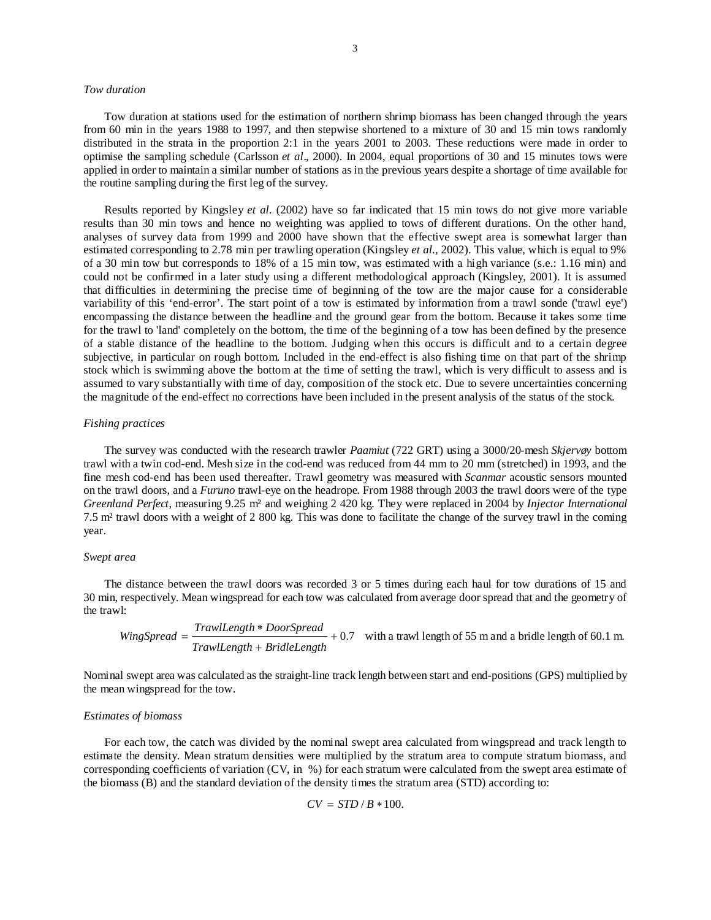### *Tow duration*

Tow duration at stations used for the estimation of northern shrimp biomass has been changed through the years from 60 min in the years 1988 to 1997, and then stepwise shortened to a mixture of 30 and 15 min tows randomly distributed in the strata in the proportion 2:1 in the years 2001 to 2003. These reductions were made in order to optimise the sampling schedule (Carlsson *et al*., 2000). In 2004, equal proportions of 30 and 15 minutes tows were applied in order to maintain a similar number of stations as in the previous years despite a shortage of time available for the routine sampling during the first leg of the survey.

Results reported by Kingsley *et al.* (2002) have so far indicated that 15 min tows do not give more variable results than 30 min tows and hence no weighting was applied to tows of different durations. On the other hand, analyses of survey data from 1999 and 2000 have shown that the effective swept area is somewhat larger than estimated corresponding to 2.78 min per trawling operation (Kingsley *et al.*, 2002). This value, which is equal to 9% of a 30 min tow but corresponds to 18% of a 15 min tow, was estimated with a high variance (s.e.: 1.16 min) and could not be confirmed in a later study using a different methodological approach (Kingsley, 2001). It is assumed that difficulties in determining the precise time of beginning of the tow are the major cause for a considerable variability of this 'end-error'. The start point of a tow is estimated by information from a trawl sonde ('trawl eye') encompassing the distance between the headline and the ground gear from the bottom. Because it takes some time for the trawl to 'land' completely on the bottom, the time of the beginning of a tow has been defined by the presence of a stable distance of the headline to the bottom. Judging when this occurs is difficult and to a certain degree subjective, in particular on rough bottom. Included in the end-effect is also fishing time on that part of the shrimp stock which is swimming above the bottom at the time of setting the trawl, which is very difficult to assess and is assumed to vary substantially with time of day, composition of the stock etc. Due to severe uncertainties concerning the magnitude of the end-effect no corrections have been included in the present analysis of the status of the stock.

## *Fishing practices*

The survey was conducted with the research trawler *Paamiut* (722 GRT) using a 3000/20-mesh *Skjervøy* bottom trawl with a twin cod-end. Mesh size in the cod-end was reduced from 44 mm to 20 mm (stretched) in 1993, and the fine mesh cod-end has been used thereafter. Trawl geometry was measured with *Scanmar* acoustic sensors mounted on the trawl doors, and a *Furuno* trawl-eye on the headrope. From 1988 through 2003 the trawl doors were of the type *Greenland Perfect*, measuring 9.25 m² and weighing 2 420 kg. They were replaced in 2004 by *Injector International* 7.5 m² trawl doors with a weight of 2 800 kg. This was done to facilitate the change of the survey trawl in the coming year.

### *Swept area*

The distance between the trawl doors was recorded 3 or 5 times during each haul for tow durations of 15 and 30 min, respectively. Mean wingspread for each tow was calculated from average door spread that and the geometry of the trawl:

Wing
$$
Wing\mathit{Spread} = \frac{TrawlLength * Door\mathit{Spread}}{TrawlLength + BridleLength} + 0.7
$$
 with a travelling path of 55 m and a bridge length of 60.1 m.

Nominal swept area was calculated as the straight-line track length between start and end-positions (GPS) multiplied by the mean wingspread for the tow.

## *Estimates of biomass*

For each tow, the catch was divided by the nominal swept area calculated from wingspread and track length to estimate the density. Mean stratum densities were multiplied by the stratum area to compute stratum biomass, and corresponding coefficients of variation (CV, in %) for each stratum were calculated from the swept area estimate of the biomass (B) and the standard deviation of the density times the stratum area (STD) according to:

$$
CV = STD / B * 100.
$$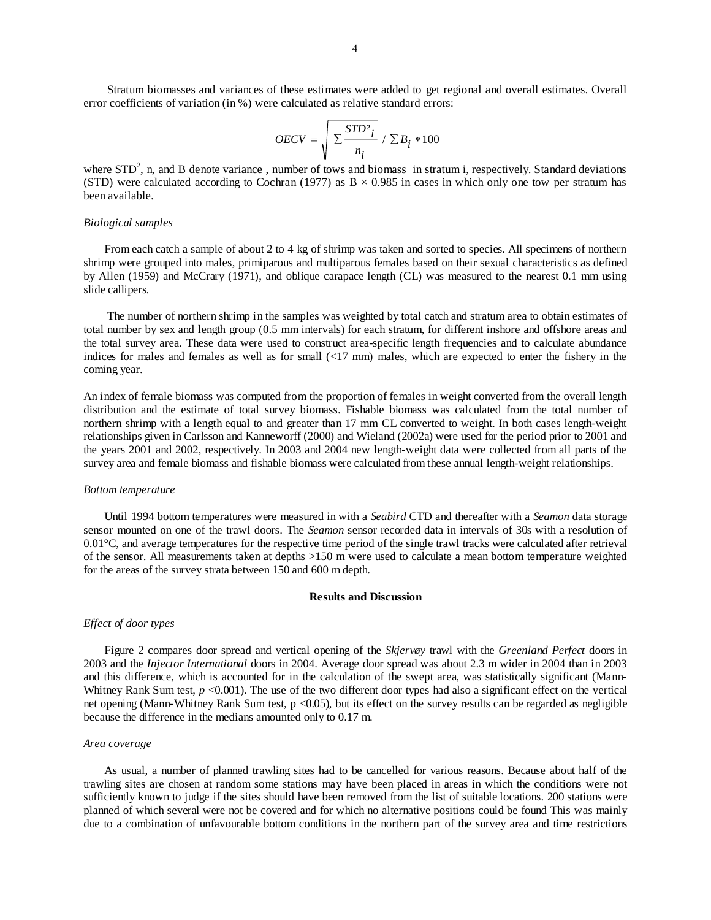Stratum biomasses and variances of these estimates were added to get regional and overall estimates. Overall error coefficients of variation (in %) were calculated as relative standard errors:

$$
OECV = \sqrt{\frac{STD_i^2}{n_i}} / \sum B_i * 100
$$

where  $STD^2$ , n, and B denote variance, number of tows and biomass in stratum i, respectively. Standard deviations (STD) were calculated according to Cochran (1977) as  $B \times 0.985$  in cases in which only one tow per stratum has been available.

### *Biological samples*

From each catch a sample of about 2 to 4 kg of shrimp was taken and sorted to species. All specimens of northern shrimp were grouped into males, primiparous and multiparous females based on their sexual characteristics as defined by Allen (1959) and McCrary (1971), and oblique carapace length (CL) was measured to the nearest 0.1 mm using slide callipers.

 The number of northern shrimp in the samples was weighted by total catch and stratum area to obtain estimates of total number by sex and length group (0.5 mm intervals) for each stratum, for different inshore and offshore areas and the total survey area. These data were used to construct area-specific length frequencies and to calculate abundance indices for males and females as well as for small (<17 mm) males, which are expected to enter the fishery in the coming year.

An index of female biomass was computed from the proportion of females in weight converted from the overall length distribution and the estimate of total survey biomass. Fishable biomass was calculated from the total number of northern shrimp with a length equal to and greater than 17 mm CL converted to weight. In both cases length-weight relationships given in Carlsson and Kanneworff (2000) and Wieland (2002a) were used for the period prior to 2001 and the years 2001 and 2002, respectively. In 2003 and 2004 new length-weight data were collected from all parts of the survey area and female biomass and fishable biomass were calculated from these annual length-weight relationships.

## *Bottom temperature*

Until 1994 bottom temperatures were measured in with a *Seabird* CTD and thereafter with a *Seamon* data storage sensor mounted on one of the trawl doors. The *Seamon* sensor recorded data in intervals of 30s with a resolution of 0.01°C, and average temperatures for the respective time period of the single trawl tracks were calculated after retrieval of the sensor. All measurements taken at depths >150 m were used to calculate a mean bottom temperature weighted for the areas of the survey strata between 150 and 600 m depth.

## **Results and Discussion**

#### *Effect of door types*

Figure 2 compares door spread and vertical opening of the *Skjervøy* trawl with the *Greenland Perfect* doors in 2003 and the *Injector International* doors in 2004. Average door spread was about 2.3 m wider in 2004 than in 2003 and this difference, which is accounted for in the calculation of the swept area, was statistically significant (Mann-Whitney Rank Sum test,  $p < 0.001$ ). The use of the two different door types had also a significant effect on the vertical net opening (Mann-Whitney Rank Sum test, p <0.05), but its effect on the survey results can be regarded as negligible because the difference in the medians amounted only to 0.17 m.

#### *Area coverage*

As usual, a number of planned trawling sites had to be cancelled for various reasons. Because about half of the trawling sites are chosen at random some stations may have been placed in areas in which the conditions were not sufficiently known to judge if the sites should have been removed from the list of suitable locations. 200 stations were planned of which several were not be covered and for which no alternative positions could be found This was mainly due to a combination of unfavourable bottom conditions in the northern part of the survey area and time restrictions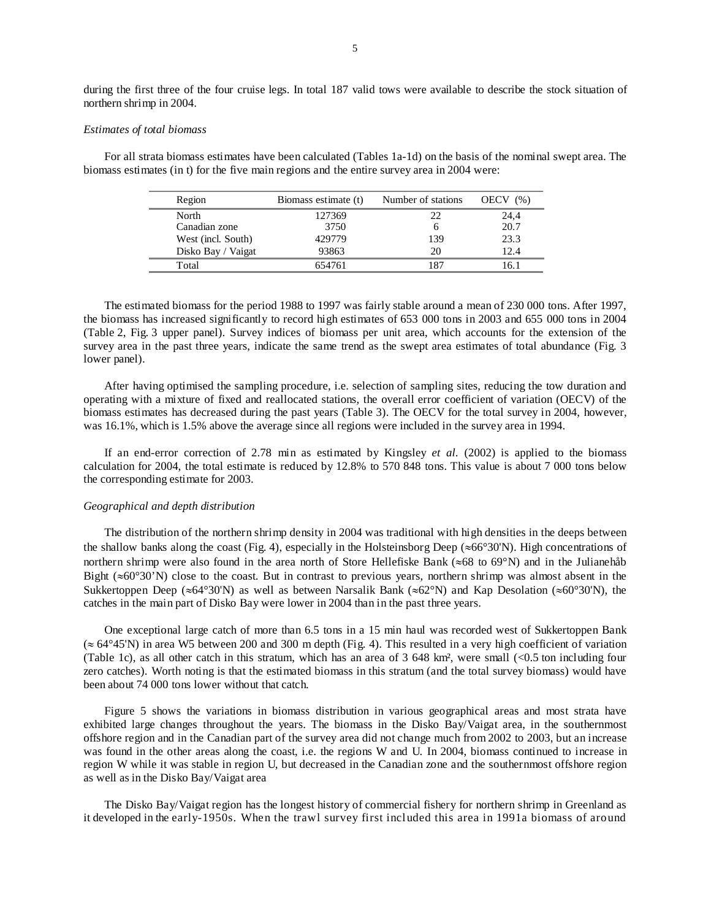during the first three of the four cruise legs. In total 187 valid tows were available to describe the stock situation of northern shrimp in 2004.

### *Estimates of total biomass*

For all strata biomass estimates have been calculated (Tables 1a-1d) on the basis of the nominal swept area. The biomass estimates (in t) for the five main regions and the entire survey area in 2004 were:

| Region             | Biomass estimate (t) | Number of stations | OECV(%) |
|--------------------|----------------------|--------------------|---------|
| North              | 127369               | 22                 | 24,4    |
| Canadian zone      | 3750                 |                    | 20.7    |
| West (incl. South) | 429779               | 139                | 23.3    |
| Disko Bay / Vaigat | 93863                | 20                 | 12.4    |
| Total              | 654761               | 187                | 16.1    |

The estimated biomass for the period 1988 to 1997 was fairly stable around a mean of 230 000 tons. After 1997, the biomass has increased significantly to record high estimates of 653 000 tons in 2003 and 655 000 tons in 2004 (Table 2, Fig. 3 upper panel). Survey indices of biomass per unit area, which accounts for the extension of the survey area in the past three years, indicate the same trend as the swept area estimates of total abundance (Fig. 3) lower panel).

After having optimised the sampling procedure, i.e. selection of sampling sites, reducing the tow duration and operating with a mixture of fixed and reallocated stations, the overall error coefficient of variation (OECV) of the biomass estimates has decreased during the past years (Table 3). The OECV for the total survey in 2004, however, was 16.1%, which is 1.5% above the average since all regions were included in the survey area in 1994.

If an end-error correction of 2.78 min as estimated by Kingsley *et al.* (2002) is applied to the biomass calculation for 2004, the total estimate is reduced by 12.8% to 570 848 tons. This value is about 7 000 tons below the corresponding estimate for 2003.

### *Geographical and depth distribution*

The distribution of the northern shrimp density in 2004 was traditional with high densities in the deeps between the shallow banks along the coast (Fig. 4), especially in the Holsteinsborg Deep (≈66°30'N). High concentrations of northern shrimp were also found in the area north of Store Hellefiske Bank (≈68 to 69°N) and in the Julianehåb Bight ( $\approx 60^{\circ}30'$ N) close to the coast. But in contrast to previous years, northern shrimp was almost absent in the Sukkertoppen Deep (≈64°30'N) as well as between Narsalik Bank (≈62°N) and Kap Desolation (≈60°30'N), the catches in the main part of Disko Bay were lower in 2004 than in the past three years.

One exceptional large catch of more than 6.5 tons in a 15 min haul was recorded west of Sukkertoppen Bank (≈ 64°45'N) in area W5 between 200 and 300 m depth (Fig. 4). This resulted in a very high coefficient of variation (Table 1c), as all other catch in this stratum, which has an area of 3 648 km², were small (<0.5 ton including four zero catches). Worth noting is that the estimated biomass in this stratum (and the total survey biomass) would have been about 74 000 tons lower without that catch.

Figure 5 shows the variations in biomass distribution in various geographical areas and most strata have exhibited large changes throughout the years. The biomass in the Disko Bay/Vaigat area, in the southernmost offshore region and in the Canadian part of the survey area did not change much from 2002 to 2003, but an increase was found in the other areas along the coast, i.e. the regions W and U. In 2004, biomass continued to increase in region W while it was stable in region U, but decreased in the Canadian zone and the southernmost offshore region as well as in the Disko Bay/Vaigat area

The Disko Bay/Vaigat region has the longest history of commercial fishery for northern shrimp in Greenland as it developed in the early-1950s. When the trawl survey first included this area in 1991a biomass of around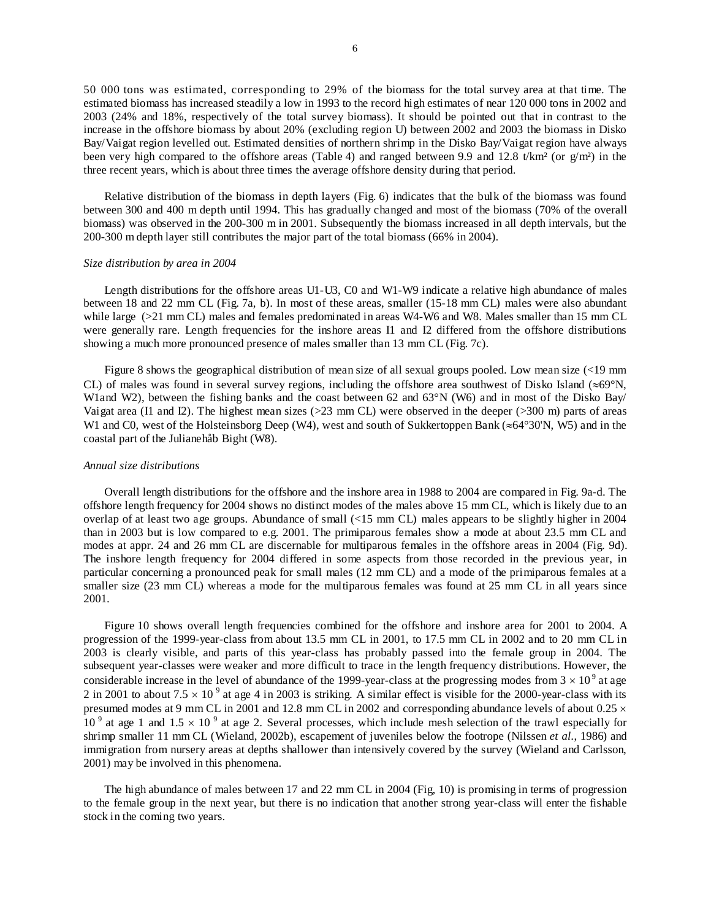50 000 tons was estimated, corresponding to 29% of the biomass for the total survey area at that time. The estimated biomass has increased steadily a low in 1993 to the record high estimates of near 120 000 tons in 2002 and 2003 (24% and 18%, respectively of the total survey biomass). It should be pointed out that in contrast to the increase in the offshore biomass by about 20% (excluding region U) between 2002 and 2003 the biomass in Disko Bay/Vaigat region levelled out. Estimated densities of northern shrimp in the Disko Bay/Vaigat region have always been very high compared to the offshore areas (Table 4) and ranged between 9.9 and 12.8 t/km² (or g/m²) in the three recent years, which is about three times the average offshore density during that period.

Relative distribution of the biomass in depth layers (Fig. 6) indicates that the bulk of the biomass was found between 300 and 400 m depth until 1994. This has gradually changed and most of the biomass (70% of the overall biomass) was observed in the 200-300 m in 2001. Subsequently the biomass increased in all depth intervals, but the 200-300 m depth layer still contributes the major part of the total biomass (66% in 2004).

#### *Size distribution by area in 2004*

Length distributions for the offshore areas U1-U3, C0 and W1-W9 indicate a relative high abundance of males between 18 and 22 mm CL (Fig. 7a, b). In most of these areas, smaller (15-18 mm CL) males were also abundant while large ( $>21$  mm CL) males and females predominated in areas W4-W6 and W8. Males smaller than 15 mm CL were generally rare. Length frequencies for the inshore areas I1 and I2 differed from the offshore distributions showing a much more pronounced presence of males smaller than 13 mm CL (Fig. 7c).

Figure 8 shows the geographical distribution of mean size of all sexual groups pooled. Low mean size (<19 mm CL) of males was found in several survey regions, including the offshore area southwest of Disko Island ( $\approx 69^{\circ}$ N, W1and W2), between the fishing banks and the coast between 62 and 63°N (W6) and in most of the Disko Bay/ Vaigat area (I1 and I2). The highest mean sizes (>23 mm CL) were observed in the deeper (>300 m) parts of areas W1 and C0, west of the Holsteinsborg Deep (W4), west and south of Sukkertoppen Bank (≈64°30'N, W5) and in the coastal part of the Julianehåb Bight (W8).

### *Annual size distributions*

Overall length distributions for the offshore and the inshore area in 1988 to 2004 are compared in Fig. 9a-d. The offshore length frequency for 2004 shows no distinct modes of the males above 15 mm CL, which is likely due to an overlap of at least two age groups. Abundance of small (<15 mm CL) males appears to be slightly higher in 2004 than in 2003 but is low compared to e.g. 2001. The primiparous females show a mode at about 23.5 mm CL and modes at appr. 24 and 26 mm CL are discernable for multiparous females in the offshore areas in 2004 (Fig. 9d). The inshore length frequency for 2004 differed in some aspects from those recorded in the previous year, in particular concerning a pronounced peak for small males (12 mm CL) and a mode of the primiparous females at a smaller size (23 mm CL) whereas a mode for the multiparous females was found at 25 mm CL in all years since 2001.

Figure 10 shows overall length frequencies combined for the offshore and inshore area for 2001 to 2004. A progression of the 1999-year-class from about 13.5 mm CL in 2001, to 17.5 mm CL in 2002 and to 20 mm CL in 2003 is clearly visible, and parts of this year-class has probably passed into the female group in 2004. The subsequent year-classes were weaker and more difficult to trace in the length frequency distributions. However, the considerable increase in the level of abundance of the 1999-year-class at the progressing modes from  $3 \times 10^9$  at age 2 in 2001 to about 7.5  $\times$  10<sup>9</sup> at age 4 in 2003 is striking. A similar effect is visible for the 2000-year-class with its presumed modes at 9 mm CL in 2001 and 12.8 mm CL in 2002 and corresponding abundance levels of about 0.25  $\times$  $10<sup>9</sup>$  at age 1 and  $1.5 \times 10<sup>9</sup>$  at age 2. Several processes, which include mesh selection of the trawl especially for shrimp smaller 11 mm CL (Wieland, 2002b), escapement of juveniles below the footrope (Nilssen *et al.*, 1986) and immigration from nursery areas at depths shallower than intensively covered by the survey (Wieland and Carlsson, 2001) may be involved in this phenomena.

The high abundance of males between 17 and 22 mm CL in 2004 (Fig, 10) is promising in terms of progression to the female group in the next year, but there is no indication that another strong year-class will enter the fishable stock in the coming two years.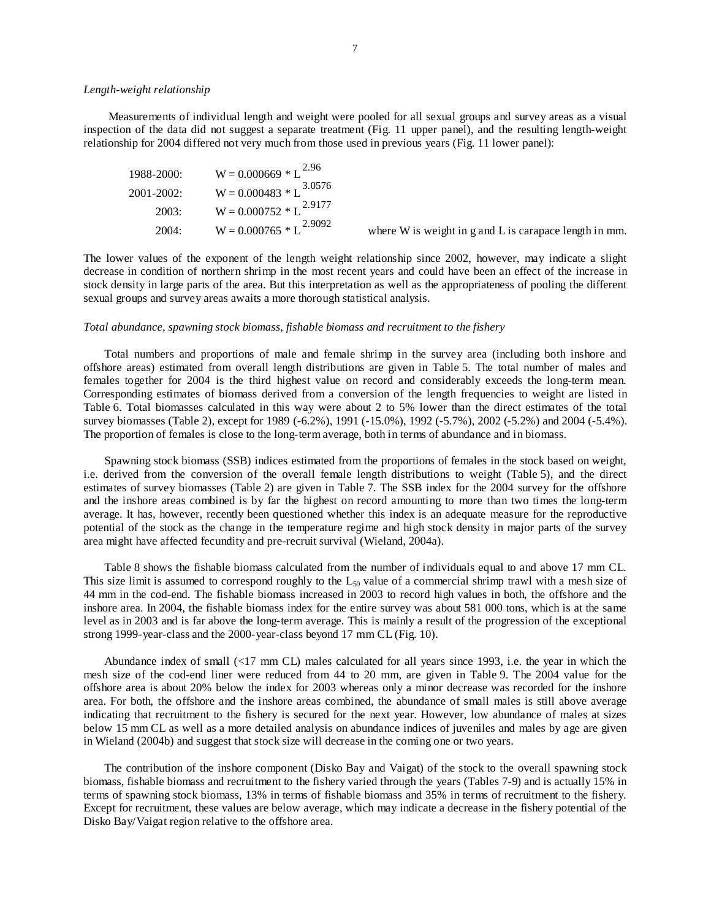## *Length-weight relationship*

Measurements of individual length and weight were pooled for all sexual groups and survey areas as a visual inspection of the data did not suggest a separate treatment (Fig. 11 upper panel), and the resulting length-weight relationship for 2004 differed not very much from those used in previous years (Fig. 11 lower panel):

| $1988 - 2000$ : | $W = 0.000669 * L^{2.96}$   |                                                              |
|-----------------|-----------------------------|--------------------------------------------------------------|
| $2001 - 2002$ : | $W = 0.000483 * L^{3.0576}$ |                                                              |
| 2003:           | $W = 0.000752 * L^{2.9177}$ |                                                              |
| 2004:           | $W = 0.000765 * L^{2.9092}$ | where $W$ is weight in $g$ and $L$ is carapace length in mm. |

The lower values of the exponent of the length weight relationship since 2002, however, may indicate a slight decrease in condition of northern shrimp in the most recent years and could have been an effect of the increase in stock density in large parts of the area. But this interpretation as well as the appropriateness of pooling the different sexual groups and survey areas awaits a more thorough statistical analysis.

### *Total abundance, spawning stock biomass, fishable biomass and recruitment to the fishery*

Total numbers and proportions of male and female shrimp in the survey area (including both inshore and offshore areas) estimated from overall length distributions are given in Table 5. The total number of males and females together for 2004 is the third highest value on record and considerably exceeds the long-term mean. Corresponding estimates of biomass derived from a conversion of the length frequencies to weight are listed in Table 6. Total biomasses calculated in this way were about 2 to 5% lower than the direct estimates of the total survey biomasses (Table 2), except for 1989 (-6.2%), 1991 (-15.0%), 1992 (-5.7%), 2002 (-5.2%) and 2004 (-5.4%). The proportion of females is close to the long-term average, both in terms of abundance and in biomass.

Spawning stock biomass (SSB) indices estimated from the proportions of females in the stock based on weight, i.e. derived from the conversion of the overall female length distributions to weight (Table 5), and the direct estimates of survey biomasses (Table 2) are given in Table 7. The SSB index for the 2004 survey for the offshore and the inshore areas combined is by far the highest on record amounting to more than two times the long-term average. It has, however, recently been questioned whether this index is an adequate measure for the reproductive potential of the stock as the change in the temperature regime and high stock density in major parts of the survey area might have affected fecundity and pre-recruit survival (Wieland, 2004a).

Table 8 shows the fishable biomass calculated from the number of individuals equal to and above 17 mm CL. This size limit is assumed to correspond roughly to the  $L_{50}$  value of a commercial shrimp trawl with a mesh size of 44 mm in the cod-end. The fishable biomass increased in 2003 to record high values in both, the offshore and the inshore area. In 2004, the fishable biomass index for the entire survey was about 581 000 tons, which is at the same level as in 2003 and is far above the long-term average. This is mainly a result of the progression of the exceptional strong 1999-year-class and the 2000-year-class beyond 17 mm CL (Fig. 10).

Abundance index of small (<17 mm CL) males calculated for all years since 1993, i.e. the year in which the mesh size of the cod-end liner were reduced from 44 to 20 mm, are given in Table 9. The 2004 value for the offshore area is about 20% below the index for 2003 whereas only a minor decrease was recorded for the inshore area. For both, the offshore and the inshore areas combined, the abundance of small males is still above average indicating that recruitment to the fishery is secured for the next year. However, low abundance of males at sizes below 15 mm CL as well as a more detailed analysis on abundance indices of juveniles and males by age are given in Wieland (2004b) and suggest that stock size will decrease in the coming one or two years.

The contribution of the inshore component (Disko Bay and Vaigat) of the stock to the overall spawning stock biomass, fishable biomass and recruitment to the fishery varied through the years (Tables 7-9) and is actually 15% in terms of spawning stock biomass, 13% in terms of fishable biomass and 35% in terms of recruitment to the fishery. Except for recruitment, these values are below average, which may indicate a decrease in the fishery potential of the Disko Bay/Vaigat region relative to the offshore area.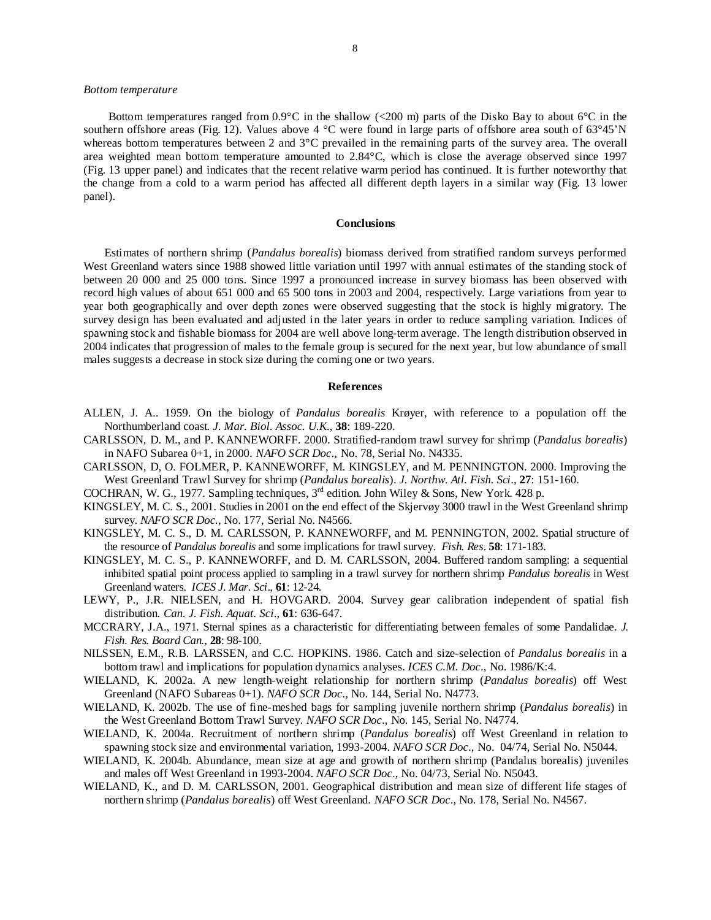## *Bottom temperature*

Bottom temperatures ranged from  $0.9^{\circ}$ C in the shallow (<200 m) parts of the Disko Bay to about 6<sup>°</sup>C in the southern offshore areas (Fig. 12). Values above 4 °C were found in large parts of offshore area south of 63°45'N whereas bottom temperatures between 2 and 3°C prevailed in the remaining parts of the survey area. The overall area weighted mean bottom temperature amounted to 2.84°C, which is close the average observed since 1997 (Fig. 13 upper panel) and indicates that the recent relative warm period has continued. It is further noteworthy that the change from a cold to a warm period has affected all different depth layers in a similar way (Fig. 13 lower panel).

## **Conclusions**

Estimates of northern shrimp (*Pandalus borealis*) biomass derived from stratified random surveys performed West Greenland waters since 1988 showed little variation until 1997 with annual estimates of the standing stock of between 20 000 and 25 000 tons. Since 1997 a pronounced increase in survey biomass has been observed with record high values of about 651 000 and 65 500 tons in 2003 and 2004, respectively. Large variations from year to year both geographically and over depth zones were observed suggesting that the stock is highly migratory. The survey design has been evaluated and adjusted in the later years in order to reduce sampling variation. Indices of spawning stock and fishable biomass for 2004 are well above long-term average. The length distribution observed in 2004 indicates that progression of males to the female group is secured for the next year, but low abundance of small males suggests a decrease in stock size during the coming one or two years.

## **References**

- ALLEN, J. A.. 1959. On the biology of *Pandalus borealis* Krøyer, with reference to a population off the Northumberland coast*. J. Mar. Biol. Assoc. U.K*., **38**: 189-220.
- CARLSSON, D. M., and P. KANNEWORFF. 2000. Stratified-random trawl survey for shrimp (*Pandalus borealis*) in NAFO Subarea 0+1, in 2000. *NAFO SCR Doc*., No. 78, Serial No. N4335.
- CARLSSON, D, O. FOLMER, P. KANNEWORFF, M. KINGSLEY, and M. PENNINGTON. 2000. Improving the West Greenland Trawl Survey for shrimp (*Pandalus borealis*). *J. Northw. Atl. Fish. Sci*., **27**: 151-160.
- COCHRAN, W. G., 1977. Sampling techniques,  $3<sup>rd</sup>$  edition. John Wiley & Sons, New York. 428 p.
- KINGSLEY, M. C. S., 2001. Studies in 2001 on the end effect of the Skjervøy 3000 trawl in the West Greenland shrimp survey. *NAFO SCR Doc.,* No. 177, Serial No. N4566.
- KINGSLEY, M. C. S., D. M. CARLSSON, P. KANNEWORFF, and M. PENNINGTON, 2002. Spatial structure of the resource of *Pandalus borealis* and some implications for trawl survey. *Fish. Res*. **58**: 171-183.
- KINGSLEY, M. C. S., P. KANNEWORFF, and D. M. CARLSSON, 2004. Buffered random sampling: a sequential inhibited spatial point process applied to sampling in a trawl survey for northern shrimp *Pandalus borealis* in West Greenland waters. *ICES J. Mar. Sci*., **61**: 12-24.
- LEWY, P., J.R. NIELSEN, and H. HOVGARD. 2004. Survey gear calibration independent of spatial fish distribution. *Can. J. Fish. Aquat. Sci*., **61**: 636-647.
- MCCRARY, J.A., 1971. Sternal spines as a characteristic for differentiating between females of some Pandalidae. *J. Fish. Res. Board Can.*, **28**: 98-100.
- NILSSEN, E.M., R.B. LARSSEN, and C.C. HOPKINS. 1986. Catch and size-selection of *Pandalus borealis* in a bottom trawl and implications for population dynamics analyses. *ICES C.M. Doc*., No. 1986/K:4.
- WIELAND, K. 2002a. A new length-weight relationship for northern shrimp (*Pandalus borealis*) off West Greenland (NAFO Subareas 0+1). *NAFO SCR Doc*., No. 144, Serial No. N4773.
- WIELAND, K. 2002b. The use of fine-meshed bags for sampling juvenile northern shrimp (*Pandalus borealis*) in the West Greenland Bottom Trawl Survey. *NAFO SCR Doc*., No. 145, Serial No. N4774.
- WIELAND, K. 2004a. Recruitment of northern shrimp (*Pandalus borealis*) off West Greenland in relation to spawning stock size and environmental variation, 1993-2004. *NAFO SCR Doc*., No. 04/74, Serial No. N5044.
- WIELAND, K. 2004b. Abundance, mean size at age and growth of northern shrimp (Pandalus borealis) juveniles and males off West Greenland in 1993-2004. *NAFO SCR Doc*., No. 04/73, Serial No. N5043.
- WIELAND, K., and D. M. CARLSSON, 2001. Geographical distribution and mean size of different life stages of northern shrimp (*Pandalus borealis*) off West Greenland. *NAFO SCR Doc*., No. 178, Serial No. N4567.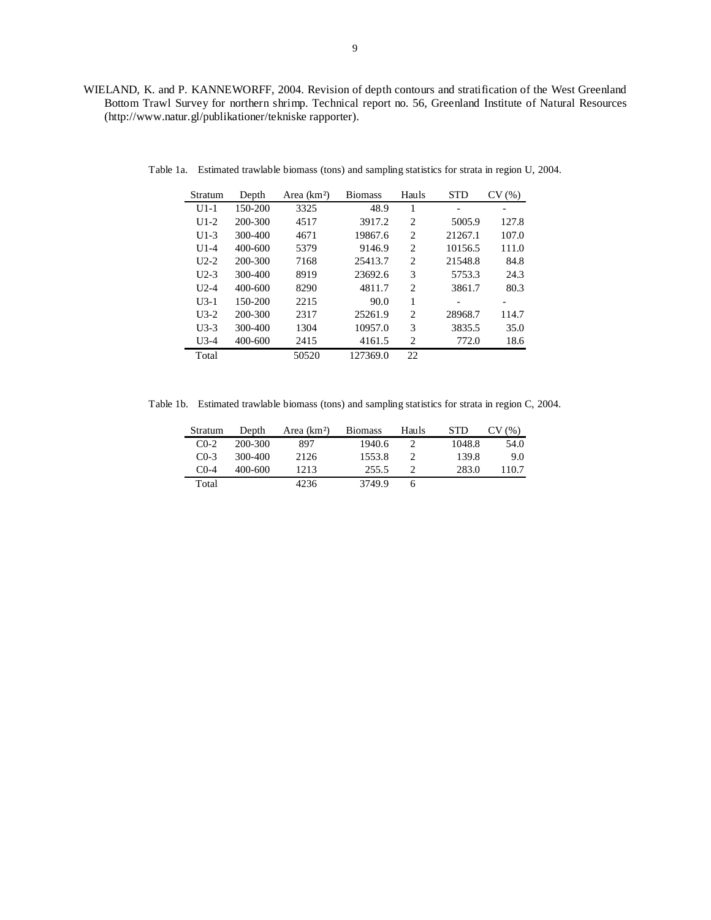WIELAND, K. and P. KANNEWORFF, 2004. Revision of depth contours and stratification of the West Greenland Bottom Trawl Survey for northern shrimp. Technical report no. 56, Greenland Institute of Natural Resources (http://www.natur.gl/publikationer/tekniske rapporter).

| Stratum  | Depth       | Area (km <sup>2</sup> ) | <b>Biomass</b> | Hauls          | <b>STD</b> | CV(%) |
|----------|-------------|-------------------------|----------------|----------------|------------|-------|
| U1-1     | 150-200     | 3325                    | 48.9           |                |            |       |
| $U1-2$   | 200-300     | 4517                    | 3917.2         | $\overline{c}$ | 5005.9     | 127.8 |
| $U1-3$   | 300-400     | 4671                    | 19867.6        | $\overline{c}$ | 21267.1    | 107.0 |
| $U1-4$   | 400-600     | 5379                    | 9146.9         | 2              | 10156.5    | 111.0 |
| $U2-2$   | 200-300     | 7168                    | 25413.7        | 2              | 21548.8    | 84.8  |
| $U2-3$   | 300-400     | 8919                    | 23692.6        | 3              | 5753.3     | 24.3  |
| $U$ 2.-4 | $400 - 600$ | 8290                    | 4811.7         | $\overline{c}$ | 3861.7     | 80.3  |
| $U3-1$   | 150-200     | 2215                    | 90.0           | 1              |            |       |
| $U3-2$   | 200-300     | 2317                    | 25261.9        | $\overline{c}$ | 28968.7    | 114.7 |
| $U3-3$   | 300-400     | 1304                    | 10957.0        | 3              | 3835.5     | 35.0  |
| $U3-4$   | $400 - 600$ | 2415                    | 4161.5         | 2              | 772.0      | 18.6  |
| Total    |             | 50520                   | 127369.0       | 22             |            |       |

Table 1a. Estimated trawlable biomass (tons) and sampling statistics for strata in region U, 2004.

Table 1b. Estimated trawlable biomass (tons) and sampling statistics for strata in region C, 2004.

| Stratum   | Depth   | Area (km <sup>2</sup> ) | <b>Biomass</b> | Hauls | <b>STD</b> | CV(%) |
|-----------|---------|-------------------------|----------------|-------|------------|-------|
| $CO-2$    | 200-300 | 897                     | 1940.6         |       | 1048.8     | 54.0  |
| $C_{0-3}$ | 300-400 | 2126                    | 1553.8         |       | 139.8      | 9.0   |
| $C0-4$    | 400-600 | 1213                    | 255.5          |       | 283.0      | 110.7 |
| Total     |         | 4236                    | 3749.9         | h     |            |       |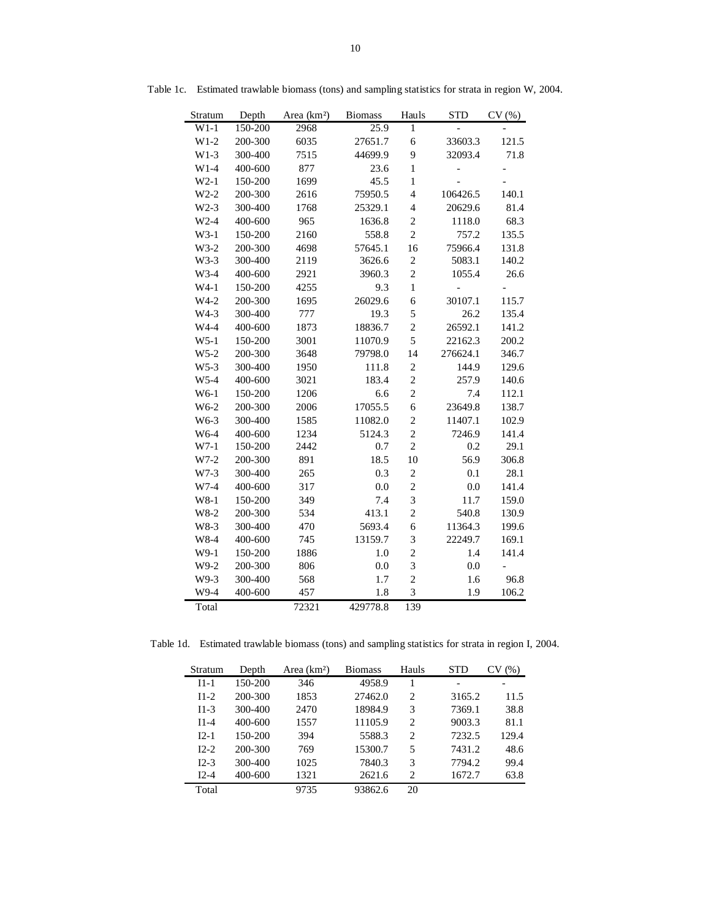| Stratum           | Depth   | Area (km <sup>2</sup> ) | <b>Biomass</b> | Hauls            | <b>STD</b>     | CV(%)                |
|-------------------|---------|-------------------------|----------------|------------------|----------------|----------------------|
| $W1-1$            | 150-200 | 2968                    | 25.9           | $\mathbf{1}$     |                |                      |
| $W1-2$            | 200-300 | 6035                    | 27651.7        | 6                | 33603.3        | 121.5                |
| $W1-3$            | 300-400 | 7515                    | 44699.9        | 9                | 32093.4        | 71.8                 |
| $W1-4$            | 400-600 | 877                     | 23.6           | $\mathbf{1}$     |                |                      |
| $W2-1$            | 150-200 | 1699                    | 45.5           | $\mathbf{1}$     |                |                      |
| $W2-2$            | 200-300 | 2616                    | 75950.5        | $\overline{4}$   | 106426.5       | 140.1                |
| $W2-3$            | 300-400 | 1768                    | 25329.1        | $\overline{4}$   | 20629.6        | 81.4                 |
| $W2-4$            | 400-600 | 965                     | 1636.8         | $\overline{c}$   | 1118.0         | 68.3                 |
| $W3-1$            | 150-200 | 2160                    | 558.8          | $\overline{2}$   | 757.2          | 135.5                |
| $W3-2$            | 200-300 | 4698                    | 57645.1        | 16               | 75966.4        | 131.8                |
| W3-3              | 300-400 | 2119                    | 3626.6         | $\boldsymbol{2}$ | 5083.1         | 140.2                |
| W3-4              | 400-600 | 2921                    | 3960.3         | $\overline{c}$   | 1055.4         | 26.6                 |
| $W4-1$            | 150-200 | 4255                    | 9.3            | $\mathbf{1}$     | $\overline{a}$ |                      |
| $W4-2$            | 200-300 | 1695                    | 26029.6        | 6                | 30107.1        | 115.7                |
| W4-3              | 300-400 | 777                     | 19.3           | 5                | 26.2           | 135.4                |
| W4-4              | 400-600 | 1873                    | 18836.7        | $\overline{c}$   | 26592.1        | 141.2                |
| $W5-1$            | 150-200 | 3001                    | 11070.9        | 5                | 22162.3        | 200.2                |
| $W5-2$            | 200-300 | 3648                    | 79798.0        | 14               | 276624.1       | 346.7                |
| $W5-3$            | 300-400 | 1950                    | 111.8          | $\sqrt{2}$       | 144.9          | 129.6                |
| W5-4              | 400-600 | 3021                    | 183.4          | $\overline{c}$   | 257.9          | 140.6                |
| W6-1              | 150-200 | 1206                    | 6.6            | $\overline{c}$   | 7.4            | 112.1                |
| W <sub>6</sub> -2 | 200-300 | 2006                    | 17055.5        | 6                | 23649.8        | 138.7                |
| W6-3              | 300-400 | 1585                    | 11082.0        | $\overline{c}$   | 11407.1        | 102.9                |
| W6-4              | 400-600 | 1234                    | 5124.3         | $\overline{c}$   | 7246.9         | 141.4                |
| $W7-1$            | 150-200 | 2442                    | 0.7            | $\overline{c}$   | 0.2            | 29.1                 |
| W7-2              | 200-300 | 891                     | 18.5           | 10               | 56.9           | 306.8                |
| W7-3              | 300-400 | 265                     | 0.3            | $\overline{c}$   | 0.1            | 28.1                 |
| W7-4              | 400-600 | 317                     | 0.0            | $\overline{c}$   | 0.0            | 141.4                |
| $W8-1$            | 150-200 | 349                     | 7.4            | 3                | 11.7           | 159.0                |
| W8-2              | 200-300 | 534                     | 413.1          | $\overline{c}$   | 540.8          | 130.9                |
| W8-3              | 300-400 | 470                     | 5693.4         | 6                | 11364.3        | 199.6                |
| W8-4              | 400-600 | 745                     | 13159.7        | 3                | 22249.7        | 169.1                |
| W9-1              | 150-200 | 1886                    | 1.0            | $\overline{c}$   | 1.4            | 141.4                |
| W9-2              | 200-300 | 806                     | 0.0            | 3                | 0.0            | $\qquad \qquad \Box$ |
| W9-3              | 300-400 | 568                     | 1.7            | $\overline{c}$   | 1.6            | 96.8                 |
| W9-4              | 400-600 | 457                     | 1.8            | 3                | 1.9            | 106.2                |
| Total             |         | 72321                   | 429778.8       | 139              |                |                      |

Table 1c. Estimated trawlable biomass (tons) and sampling statistics for strata in region W, 2004.

Table 1d. Estimated trawlable biomass (tons) and sampling statistics for strata in region I, 2004.

| Stratum | Depth       | Area $(km2)$ | <b>Biomass</b> | Hauls          | <b>STD</b> | V(%)  |
|---------|-------------|--------------|----------------|----------------|------------|-------|
| $I1-1$  | 150-200     | 346          | 4958.9         |                |            |       |
| $I1-2$  | 200-300     | 1853         | 27462.0        | $\overline{c}$ | 3165.2     | 11.5  |
| $I1-3$  | 300-400     | 2470         | 18984.9        | 3              | 7369.1     | 38.8  |
| $I1-4$  | $400 - 600$ | 1557         | 11105.9        | 2              | 9003.3     | 81.1  |
| $I2-1$  | 150-200     | 394          | 5588.3         | 2              | 7232.5     | 129.4 |
| $I2-2$  | 200-300     | 769          | 15300.7        | 5              | 7431.2     | 48.6  |
| $I2-3$  | 300-400     | 1025         | 7840.3         | 3              | 7794.2     | 99.4  |
| $I2-4$  | $400 - 600$ | 1321         | 2621.6         | 2              | 1672.7     | 63.8  |
| Total   |             | 9735         | 93862.6        | 20             |            |       |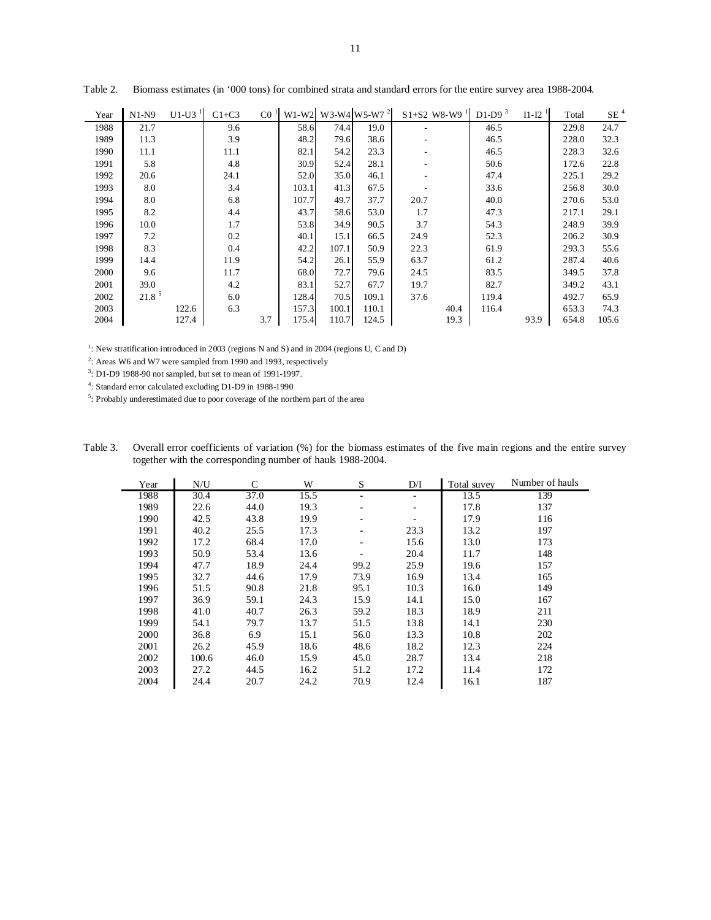| Year | $N1-N9$           | $U1-U3$ <sup>1</sup> | $C1+C3$ | CO <sup>1</sup> | $W1-W2$ |       | W3-W4 W5-W7 <sup>2</sup> | $S1+S2$ W8-W9 <sup>1</sup> |      | D1-D9 $3$ | $I1-I2-1$ | Total | $SE$ $^4$ |
|------|-------------------|----------------------|---------|-----------------|---------|-------|--------------------------|----------------------------|------|-----------|-----------|-------|-----------|
| 1988 | 21.7              |                      | 9.6     |                 | 58.6    | 74.4  | 19.0                     |                            |      | 46.5      |           | 229.8 | 24.7      |
| 1989 | 11.3              |                      | 3.9     |                 | 48.2    | 79.6  | 38.6                     |                            |      | 46.5      |           | 228.0 | 32.3      |
| 1990 | 11.1              |                      | 11.1    |                 | 82.1    | 54.2  | 23.3                     |                            |      | 46.5      |           | 228.3 | 32.6      |
| 1991 | 5.8               |                      | 4.8     |                 | 30.9    | 52.4  | 28.1                     |                            |      | 50.6      |           | 172.6 | 22.8      |
| 1992 | 20.6              |                      | 24.1    |                 | 52.0    | 35.0  | 46.1                     |                            |      | 47.4      |           | 225.1 | 29.2      |
| 1993 | 8.0               |                      | 3.4     |                 | 103.1   | 41.3  | 67.5                     |                            |      | 33.6      |           | 256.8 | 30.0      |
| 1994 | 8.0               |                      | 6.8     |                 | 107.7   | 49.7  | 37.7                     | 20.7                       |      | 40.0      |           | 270.6 | 53.0      |
| 1995 | 8.2               |                      | 4.4     |                 | 43.7    | 58.6  | 53.0                     | 1.7                        |      | 47.3      |           | 217.1 | 29.1      |
| 1996 | 10.0              |                      | 1.7     |                 | 53.8    | 34.9  | 90.5                     | 3.7                        |      | 54.3      |           | 248.9 | 39.9      |
| 1997 | 7.2               |                      | 0.2     |                 | 40.1    | 15.1  | 66.5                     | 24.9                       |      | 52.3      |           | 206.2 | 30.9      |
| 1998 | 8.3               |                      | 0.4     |                 | 42.2    | 107.1 | 50.9                     | 22.3                       |      | 61.9      |           | 293.3 | 55.6      |
| 1999 | 14.4              |                      | 11.9    |                 | 54.2    | 26.1  | 55.9                     | 63.7                       |      | 61.2      |           | 287.4 | 40.6      |
| 2000 | 9.6               |                      | 11.7    |                 | 68.0    | 72.7  | 79.6                     | 24.5                       |      | 83.5      |           | 349.5 | 37.8      |
| 2001 | 39.0              |                      | 4.2     |                 | 83.1    | 52.7  | 67.7                     | 19.7                       |      | 82.7      |           | 349.2 | 43.1      |
| 2002 | 21.8 <sup>5</sup> |                      | 6.0     |                 | 128.4   | 70.5  | 109.1                    | 37.6                       |      | 119.4     |           | 492.7 | 65.9      |
| 2003 |                   | 122.6                | 6.3     |                 | 157.3   | 100.1 | 110.1                    |                            | 40.4 | 116.4     |           | 653.3 | 74.3      |
| 2004 |                   | 127.4                |         | 3.7             | 175.4   | 110.7 | 124.5                    |                            | 19.3 |           | 93.9      | 654.8 | 105.6     |

Table 2. Biomass estimates (in '000 tons) for combined strata and standard errors for the entire survey area 1988-2004.

<sup>1</sup>: New stratification introduced in 2003 (regions N and S) and in 2004 (regions U, C and D)

<sup>2</sup>: Areas W6 and W7 were sampled from 1990 and 1993, respectively

3: D1-D9 1988-90 not sampled, but set to mean of 1991-1997.

4: Standard error calculated excluding D1-D9 in 1988-1990

5: Probably underestimated due to poor coverage of the northern part of the area

| Table 3. | Overall error coefficients of variation (%) for the biomass estimates of the five main regions and the entire survey |
|----------|----------------------------------------------------------------------------------------------------------------------|
|          | together with the corresponding number of hauls 1988-2004.                                                           |

| Year | N/U   | C    | W    | S                            | D/I  | Total suvey | Number of hauls |
|------|-------|------|------|------------------------------|------|-------------|-----------------|
| 1988 | 30.4  | 37.0 | 15.5 | ٠                            |      | 13.5        | 139             |
| 1989 | 22.6  | 44.0 | 19.3 | $\qquad \qquad \blacksquare$ | ٠    | 17.8        | 137             |
| 1990 | 42.5  | 43.8 | 19.9 | ٠                            |      | 17.9        | 116             |
| 1991 | 40.2  | 25.5 | 17.3 | ٠                            | 23.3 | 13.2        | 197             |
| 1992 | 17.2  | 68.4 | 17.0 |                              | 15.6 | 13.0        | 173             |
| 1993 | 50.9  | 53.4 | 13.6 |                              | 20.4 | 11.7        | 148             |
| 1994 | 47.7  | 18.9 | 24.4 | 99.2                         | 25.9 | 19.6        | 157             |
| 1995 | 32.7  | 44.6 | 17.9 | 73.9                         | 16.9 | 13.4        | 165             |
| 1996 | 51.5  | 90.8 | 21.8 | 95.1                         | 10.3 | 16.0        | 149             |
| 1997 | 36.9  | 59.1 | 24.3 | 15.9                         | 14.1 | 15.0        | 167             |
| 1998 | 41.0  | 40.7 | 26.3 | 59.2                         | 18.3 | 18.9        | 211             |
| 1999 | 54.1  | 79.7 | 13.7 | 51.5                         | 13.8 | 14.1        | 230             |
| 2000 | 36.8  | 6.9  | 15.1 | 56.0                         | 13.3 | 10.8        | 202             |
| 2001 | 26.2  | 45.9 | 18.6 | 48.6                         | 18.2 | 12.3        | 224             |
| 2002 | 100.6 | 46.0 | 15.9 | 45.0                         | 28.7 | 13.4        | 218             |
| 2003 | 27.2  | 44.5 | 16.2 | 51.2                         | 17.2 | 11.4        | 172             |
| 2004 | 24.4  | 20.7 | 24.2 | 70.9                         | 12.4 | 16.1        | 187             |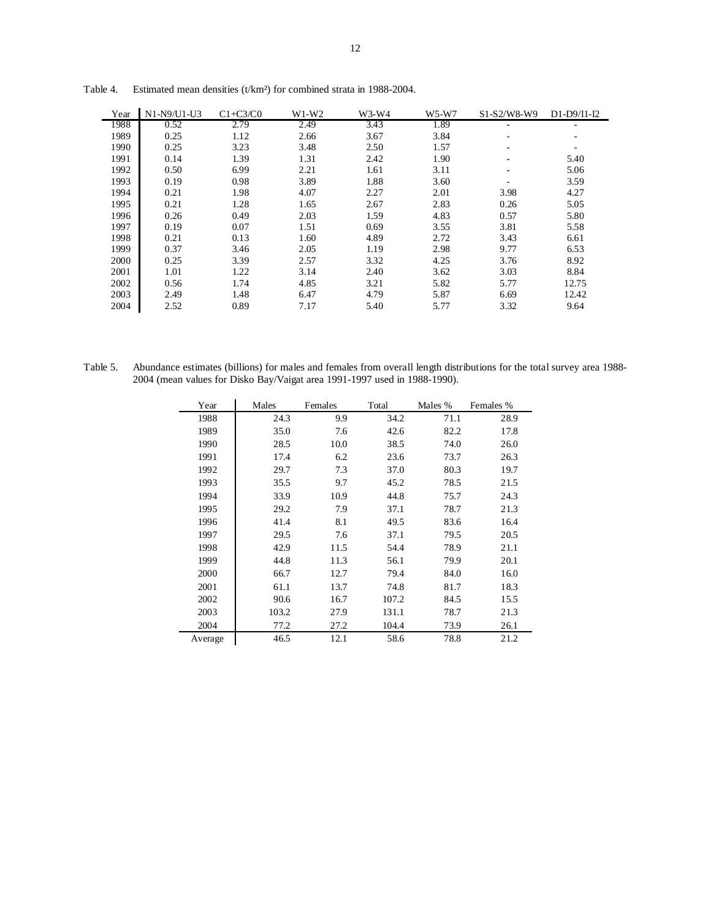| Year | N1-N9/U1-U3 | $C1+C3/C0$ | $W1-W2$ | $W3-W4$ | $W5-W7$ | S1-S2/W8-W9              | $D1-D9/I1-I2$ |
|------|-------------|------------|---------|---------|---------|--------------------------|---------------|
| 1988 | 0.52        | 2.79       | 2.49    | 3.43    | 1.89    | ۰                        | ۰             |
| 1989 | 0.25        | 1.12       | 2.66    | 3.67    | 3.84    | ۰                        |               |
| 1990 | 0.25        | 3.23       | 3.48    | 2.50    | 1.57    | ۰                        | ۰             |
| 1991 | 0.14        | 1.39       | 1.31    | 2.42    | 1.90    | ۰                        | 5.40          |
| 1992 | 0.50        | 6.99       | 2.21    | 1.61    | 3.11    | $\overline{\phantom{a}}$ | 5.06          |
| 1993 | 0.19        | 0.98       | 3.89    | 1.88    | 3.60    | $\overline{\phantom{a}}$ | 3.59          |
| 1994 | 0.21        | 1.98       | 4.07    | 2.27    | 2.01    | 3.98                     | 4.27          |
| 1995 | 0.21        | 1.28       | 1.65    | 2.67    | 2.83    | 0.26                     | 5.05          |
| 1996 | 0.26        | 0.49       | 2.03    | 1.59    | 4.83    | 0.57                     | 5.80          |
| 1997 | 0.19        | 0.07       | 1.51    | 0.69    | 3.55    | 3.81                     | 5.58          |
| 1998 | 0.21        | 0.13       | 1.60    | 4.89    | 2.72    | 3.43                     | 6.61          |
| 1999 | 0.37        | 3.46       | 2.05    | 1.19    | 2.98    | 9.77                     | 6.53          |
| 2000 | 0.25        | 3.39       | 2.57    | 3.32    | 4.25    | 3.76                     | 8.92          |
| 2001 | 1.01        | 1.22       | 3.14    | 2.40    | 3.62    | 3.03                     | 8.84          |
| 2002 | 0.56        | 1.74       | 4.85    | 3.21    | 5.82    | 5.77                     | 12.75         |
| 2003 | 2.49        | 1.48       | 6.47    | 4.79    | 5.87    | 6.69                     | 12.42         |
| 2004 | 2.52        | 0.89       | 7.17    | 5.40    | 5.77    | 3.32                     | 9.64          |

Table 4. Estimated mean densities (t/km²) for combined strata in 1988-2004.

Table 5. Abundance estimates (billions) for males and females from overall length distributions for the total survey area 1988- 2004 (mean values for Disko Bay/Vaigat area 1991-1997 used in 1988-1990).

| Year    | Males | Females | Total | Males % | Females % |
|---------|-------|---------|-------|---------|-----------|
| 1988    | 24.3  | 9.9     | 34.2  | 71.1    | 28.9      |
| 1989    | 35.0  | 7.6     | 42.6  | 82.2    | 17.8      |
| 1990    | 28.5  | 10.0    | 38.5  | 74.0    | 26.0      |
| 1991    | 17.4  | 6.2     | 23.6  | 73.7    | 26.3      |
| 1992    | 29.7  | 7.3     | 37.0  | 80.3    | 19.7      |
| 1993    | 35.5  | 9.7     | 45.2  | 78.5    | 21.5      |
| 1994    | 33.9  | 10.9    | 44.8  | 75.7    | 24.3      |
| 1995    | 29.2  | 7.9     | 37.1  | 78.7    | 21.3      |
| 1996    | 41.4  | 8.1     | 49.5  | 83.6    | 16.4      |
| 1997    | 29.5  | 7.6     | 37.1  | 79.5    | 20.5      |
| 1998    | 42.9  | 11.5    | 54.4  | 78.9    | 21.1      |
| 1999    | 44.8  | 11.3    | 56.1  | 79.9    | 20.1      |
| 2000    | 66.7  | 12.7    | 79.4  | 84.0    | 16.0      |
| 2001    | 61.1  | 13.7    | 74.8  | 81.7    | 18.3      |
| 2002    | 90.6  | 16.7    | 107.2 | 84.5    | 15.5      |
| 2003    | 103.2 | 27.9    | 131.1 | 78.7    | 21.3      |
| 2004    | 77.2  | 27.2    | 104.4 | 73.9    | 26.1      |
| Average | 46.5  | 12.1    | 58.6  | 78.8    | 21.2      |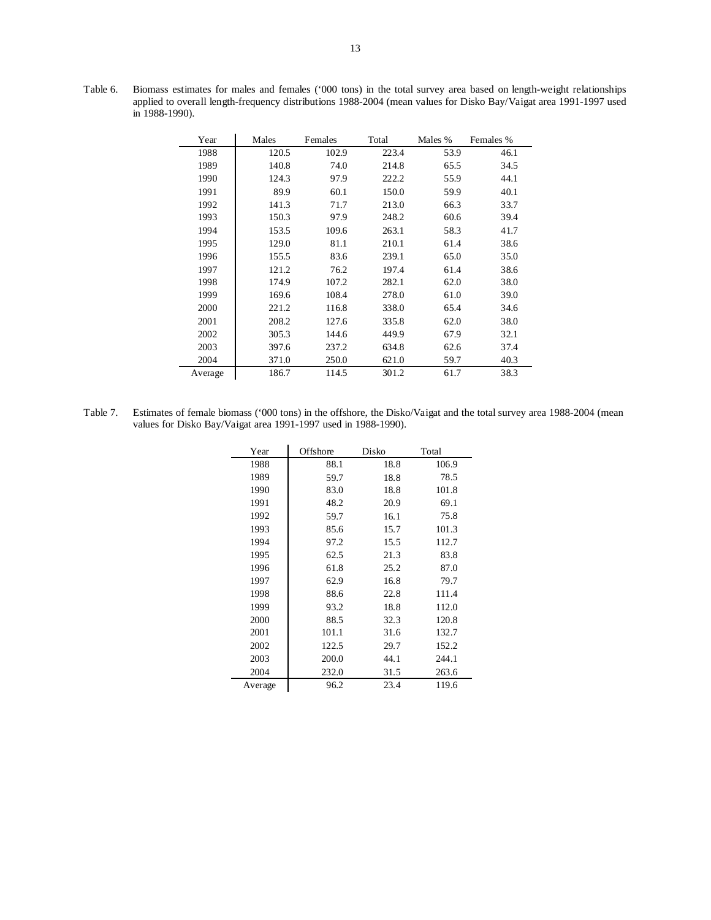| Year    | Males | Females | Total | Males % | Females % |
|---------|-------|---------|-------|---------|-----------|
| 1988    | 120.5 | 102.9   | 223.4 | 53.9    | 46.1      |
| 1989    | 140.8 | 74.0    | 214.8 | 65.5    | 34.5      |
| 1990    | 124.3 | 97.9    | 222.2 | 55.9    | 44.1      |
| 1991    | 89.9  | 60.1    | 150.0 | 59.9    | 40.1      |
| 1992    | 141.3 | 71.7    | 213.0 | 66.3    | 33.7      |
| 1993    | 150.3 | 97.9    | 248.2 | 60.6    | 39.4      |
| 1994    | 153.5 | 109.6   | 263.1 | 58.3    | 41.7      |
| 1995    | 129.0 | 81.1    | 210.1 | 61.4    | 38.6      |
| 1996    | 155.5 | 83.6    | 239.1 | 65.0    | 35.0      |
| 1997    | 121.2 | 76.2    | 197.4 | 61.4    | 38.6      |
| 1998    | 174.9 | 107.2   | 282.1 | 62.0    | 38.0      |
| 1999    | 169.6 | 108.4   | 278.0 | 61.0    | 39.0      |
| 2000    | 221.2 | 116.8   | 338.0 | 65.4    | 34.6      |
| 2001    | 208.2 | 127.6   | 335.8 | 62.0    | 38.0      |
| 2002    | 305.3 | 144.6   | 449.9 | 67.9    | 32.1      |
| 2003    | 397.6 | 237.2   | 634.8 | 62.6    | 37.4      |
| 2004    | 371.0 | 250.0   | 621.0 | 59.7    | 40.3      |
| Average | 186.7 | 114.5   | 301.2 | 61.7    | 38.3      |

Table 7. Estimates of female biomass ('000 tons) in the offshore, the Disko/Vaigat and the total survey area 1988-2004 (mean values for Disko Bay/Vaigat area 1991-1997 used in 1988-1990).

| Year    | Offshore | Disko | Total |
|---------|----------|-------|-------|
| 1988    | 88.1     | 18.8  | 106.9 |
| 1989    | 59.7     | 18.8  | 78.5  |
| 1990    | 83.0     | 18.8  | 101.8 |
| 1991    | 48.2     | 20.9  | 69.1  |
| 1992    | 59.7     | 16.1  | 75.8  |
| 1993    | 85.6     | 15.7  | 101.3 |
| 1994    | 97.2     | 15.5  | 112.7 |
| 1995    | 62.5     | 21.3  | 83.8  |
| 1996    | 61.8     | 25.2  | 87.0  |
| 1997    | 62.9     | 16.8  | 79.7  |
| 1998    | 88.6     | 22.8  | 111.4 |
| 1999    | 93.2     | 18.8  | 112.0 |
| 2000    | 88.5     | 32.3  | 120.8 |
| 2001    | 101.1    | 31.6  | 132.7 |
| 2002    | 122.5    | 29.7  | 152.2 |
| 2003    | 200.0    | 44.1  | 244.1 |
| 2004    | 232.0    | 31.5  | 263.6 |
| Average | 96.2     | 23.4  | 119.6 |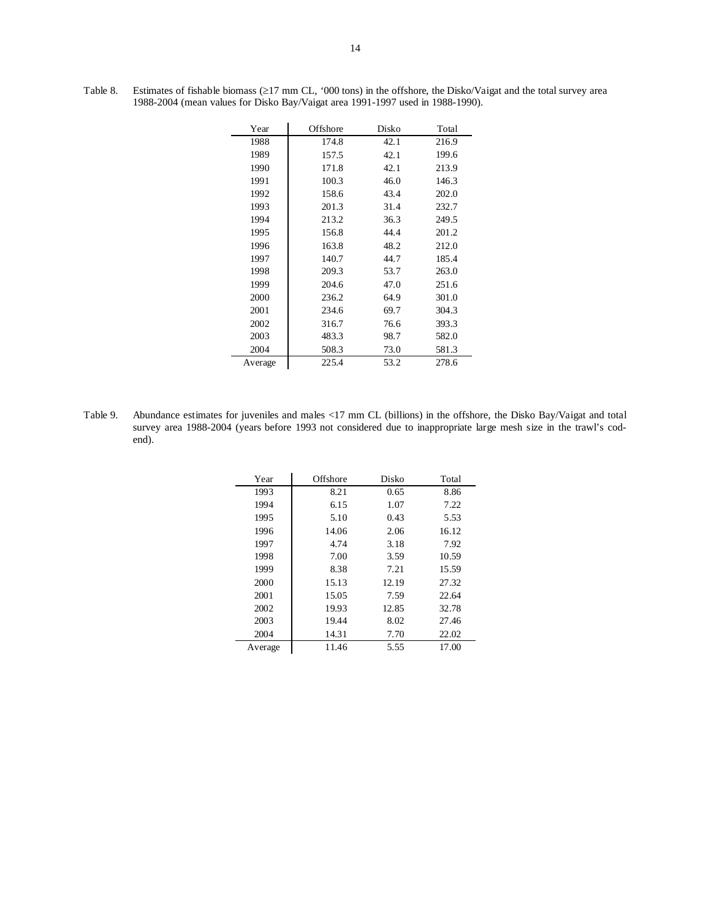| Year    | Offshore | Disko | Total |
|---------|----------|-------|-------|
| 1988    | 174.8    | 42.1  | 216.9 |
| 1989    | 157.5    | 42.1  | 199.6 |
| 1990    | 171.8    | 42.1  | 213.9 |
| 1991    | 100.3    | 46.0  | 146.3 |
| 1992    | 158.6    | 43.4  | 202.0 |
| 1993    | 201.3    | 31.4  | 232.7 |
| 1994    | 213.2    | 36.3  | 249.5 |
| 1995    | 156.8    | 44.4  | 201.2 |
| 1996    | 163.8    | 48.2  | 212.0 |
| 1997    | 140.7    | 44.7  | 185.4 |
| 1998    | 209.3    | 53.7  | 263.0 |
| 1999    | 204.6    | 47.0  | 251.6 |
| 2000    | 236.2    | 64.9  | 301.0 |
| 2001    | 234.6    | 69.7  | 304.3 |
| 2002    | 316.7    | 76.6  | 393.3 |
| 2003    | 483.3    | 98.7  | 582.0 |
| 2004    | 508.3    | 73.0  | 581.3 |
| Average | 225.4    | 53.2  | 278.6 |

Table 8. Estimates of fishable biomass (≥17 mm CL, '000 tons) in the offshore, the Disko/Vaigat and the total survey area 1988-2004 (mean values for Disko Bay/Vaigat area 1991-1997 used in 1988-1990).

Table 9. Abundance estimates for juveniles and males <17 mm CL (billions) in the offshore, the Disko Bay/Vaigat and total survey area 1988-2004 (years before 1993 not considered due to inappropriate large mesh size in the trawl's codend).

| Year    | Offshore | Disko | Total |
|---------|----------|-------|-------|
| 1993    | 8.21     | 0.65  | 8.86  |
| 1994    | 6.15     | 1.07  | 7.22  |
| 1995    | 5.10     | 0.43  | 5.53  |
| 1996    | 14.06    | 2.06  | 16.12 |
| 1997    | 4.74     | 3.18  | 7.92  |
| 1998    | 7.00     | 3.59  | 10.59 |
| 1999    | 8.38     | 7.21  | 15.59 |
| 2000    | 15.13    | 12.19 | 27.32 |
| 2001    | 15.05    | 7.59  | 22.64 |
| 2002    | 19.93    | 12.85 | 32.78 |
| 2003    | 19.44    | 8.02  | 27.46 |
| 2004    | 14.31    | 7.70  | 22.02 |
| Average | 11.46    | 5.55  | 17.00 |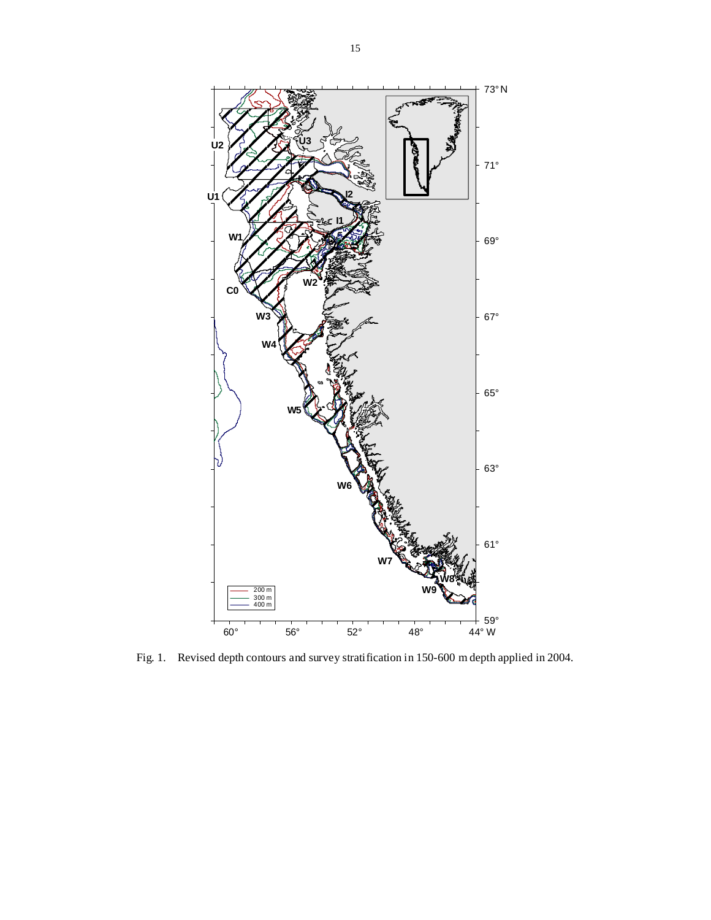

Fig. 1. Revised depth contours and survey stratification in 150-600 m depth applied in 2004.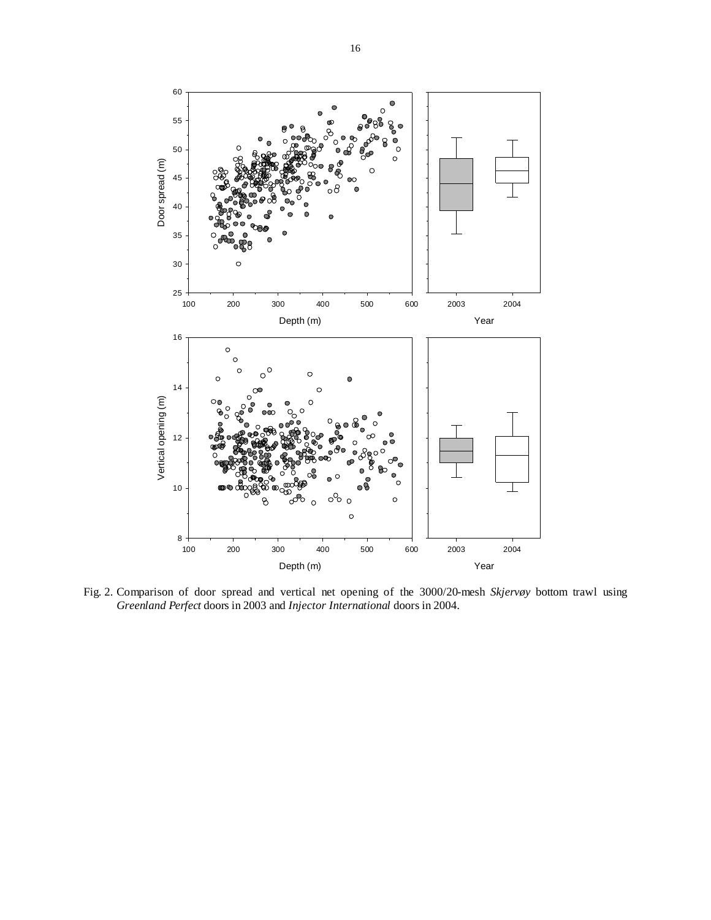

Fig. 2. Comparison of door spread and vertical net opening of the 3000/20-mesh *Skjervøy* bottom trawl using *Greenland Perfect* doors in 2003 and *Injector International* doors in 2004.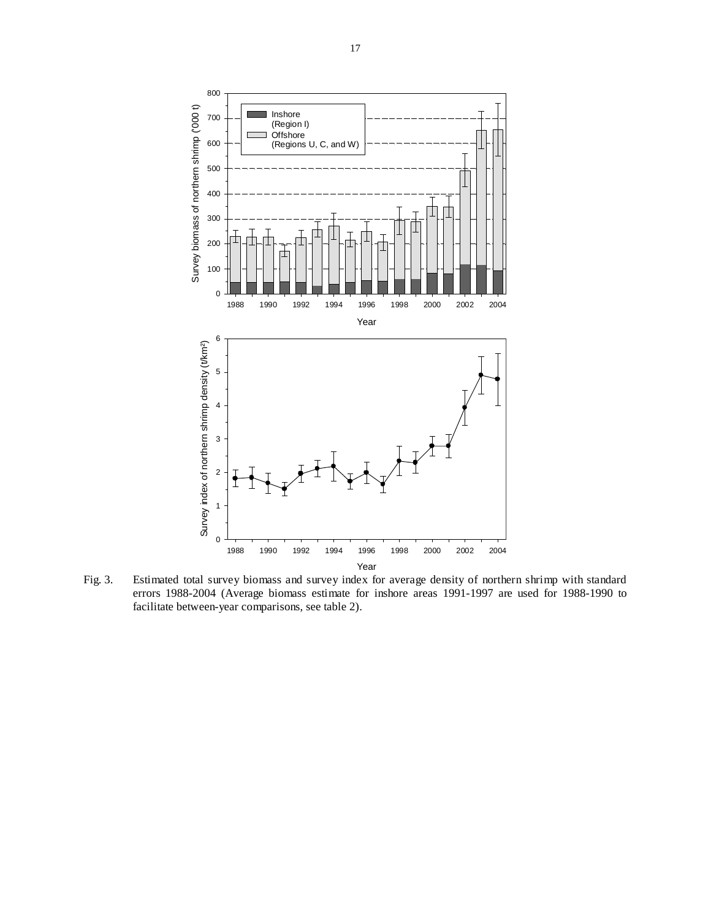

Fig. 3. Estimated total survey biomass and survey index for average density of northern shrimp with standard errors 1988-2004 (Average biomass estimate for inshore areas 1991-1997 are used for 1988-1990 to facilitate between-year comparisons, see table 2).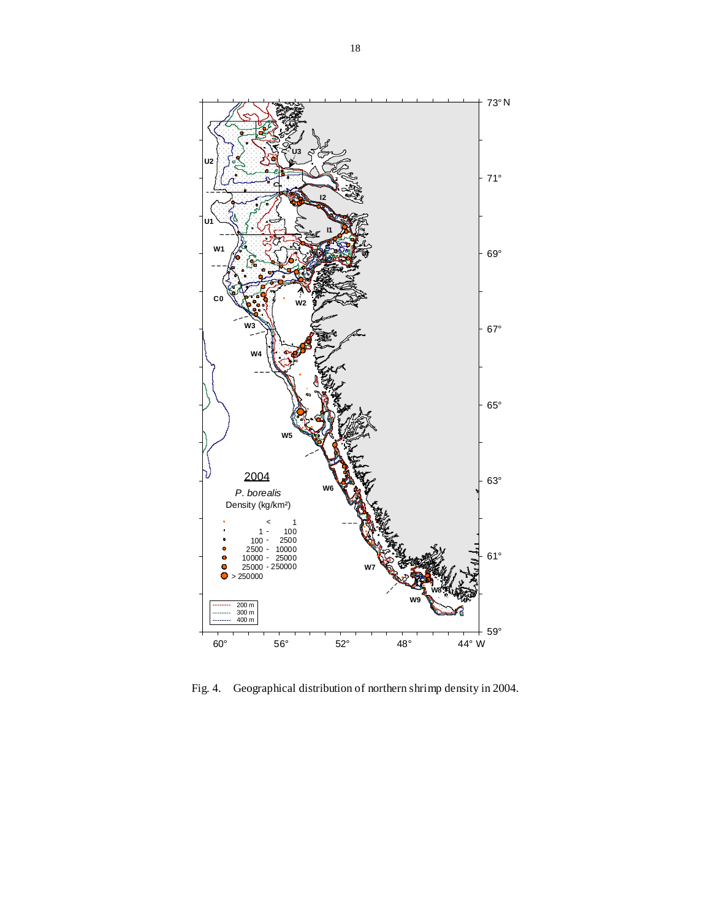

Fig. 4. Geographical distribution of northern shrimp density in 2004.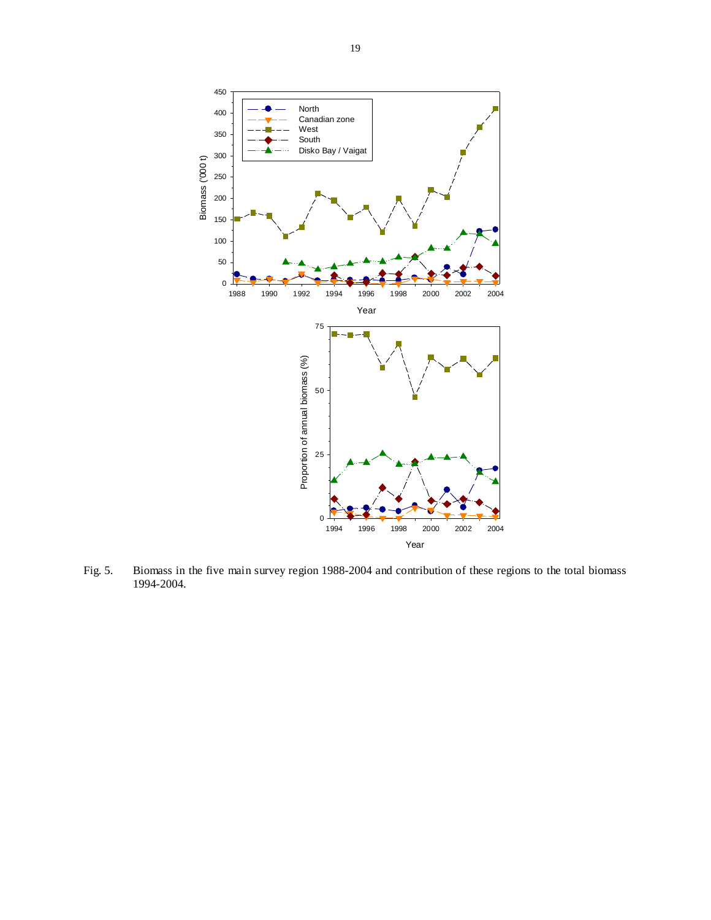

Fig. 5. Biomass in the five main survey region 1988-2004 and contribution of these regions to the total biomass 1994-2004.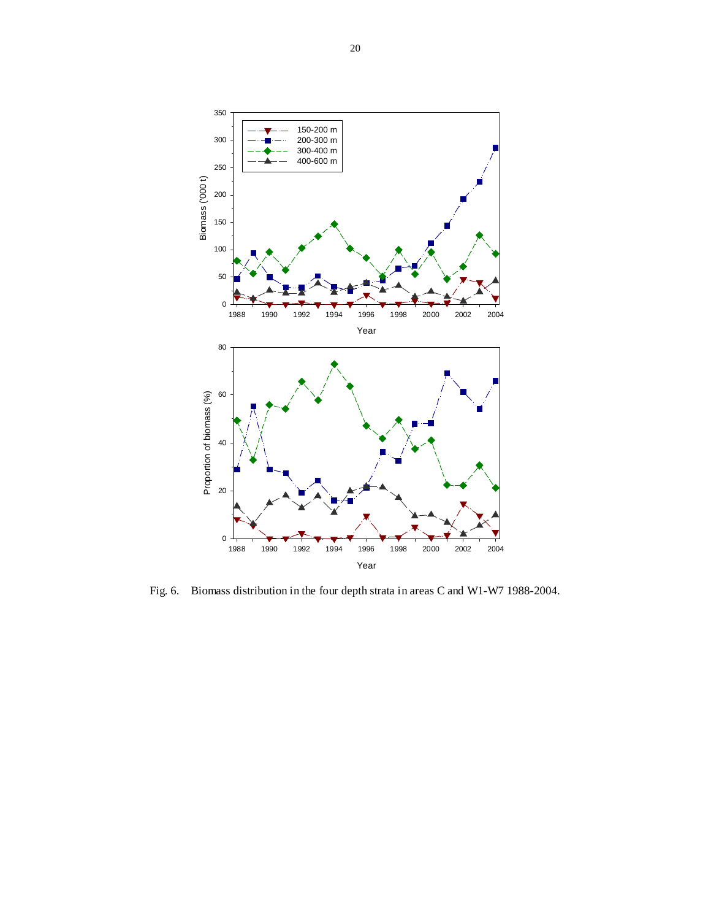

Fig. 6. Biomass distribution in the four depth strata in areas C and W1-W7 1988-2004.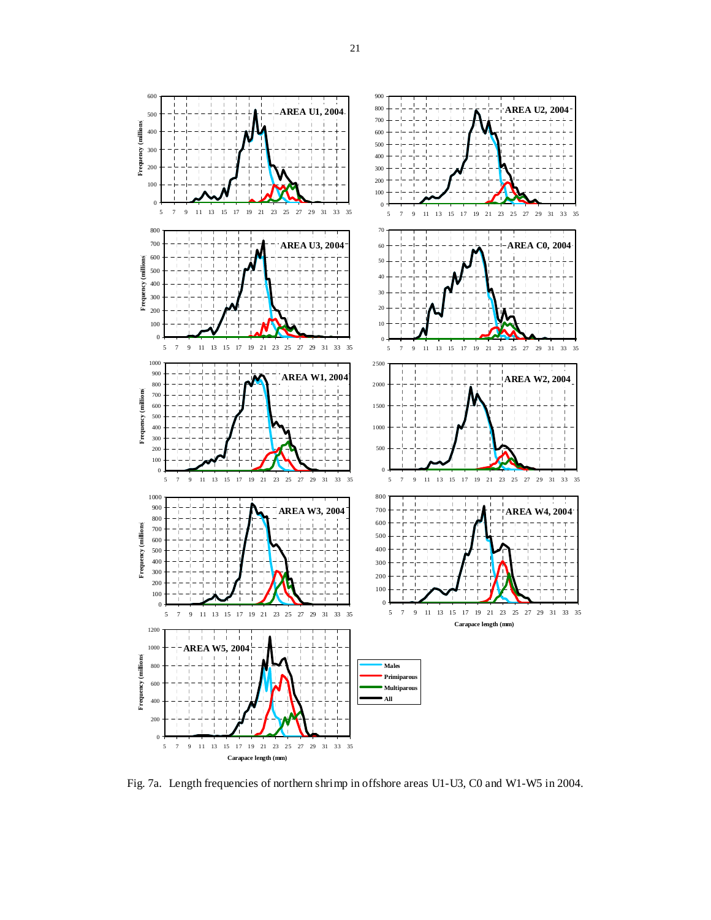

Fig. 7a. Length frequencies of northern shrimp in offshore areas U1-U3, C0 and W1-W5 in 2004.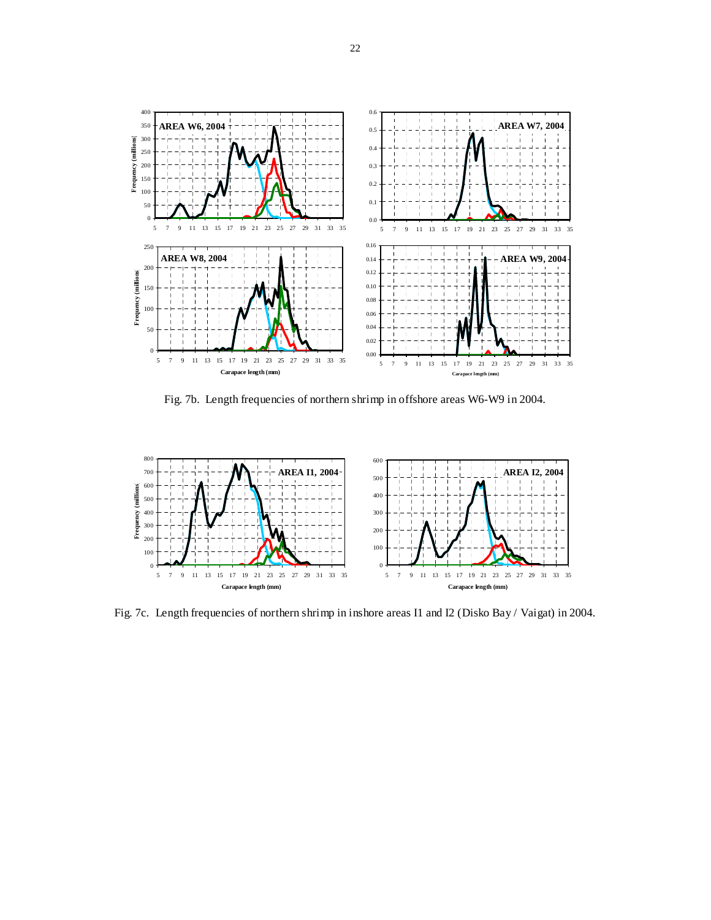

Fig. 7b. Length frequencies of northern shrimp in offshore areas W6-W9 in 2004.



Fig. 7c. Length frequencies of northern shrimp in inshore areas I1 and I2 (Disko Bay / Vaigat) in 2004.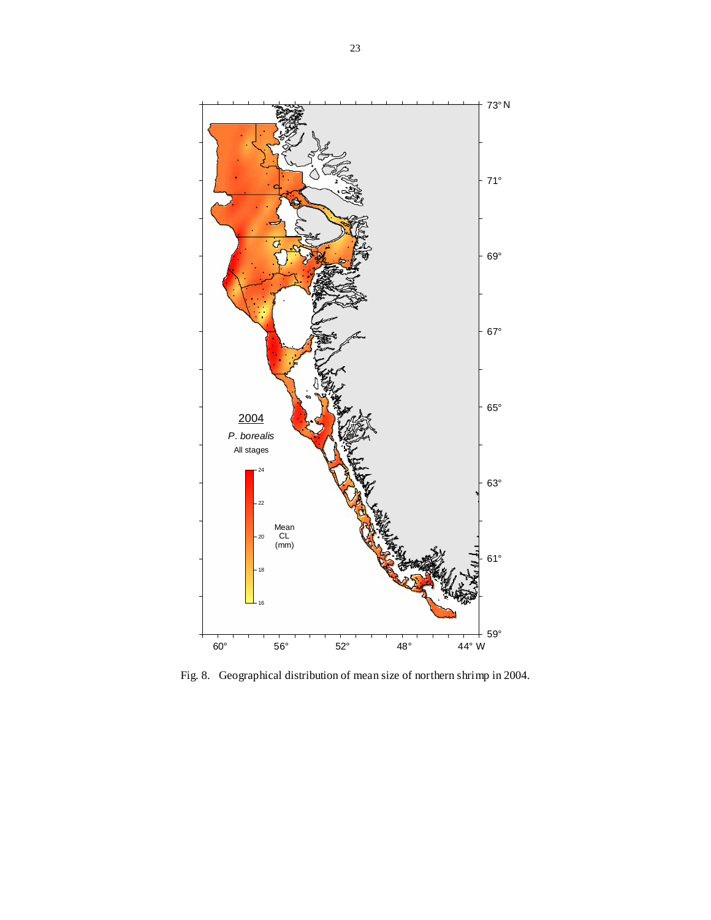

Fig. 8. Geographical distribution of mean size of northern shrimp in 2004.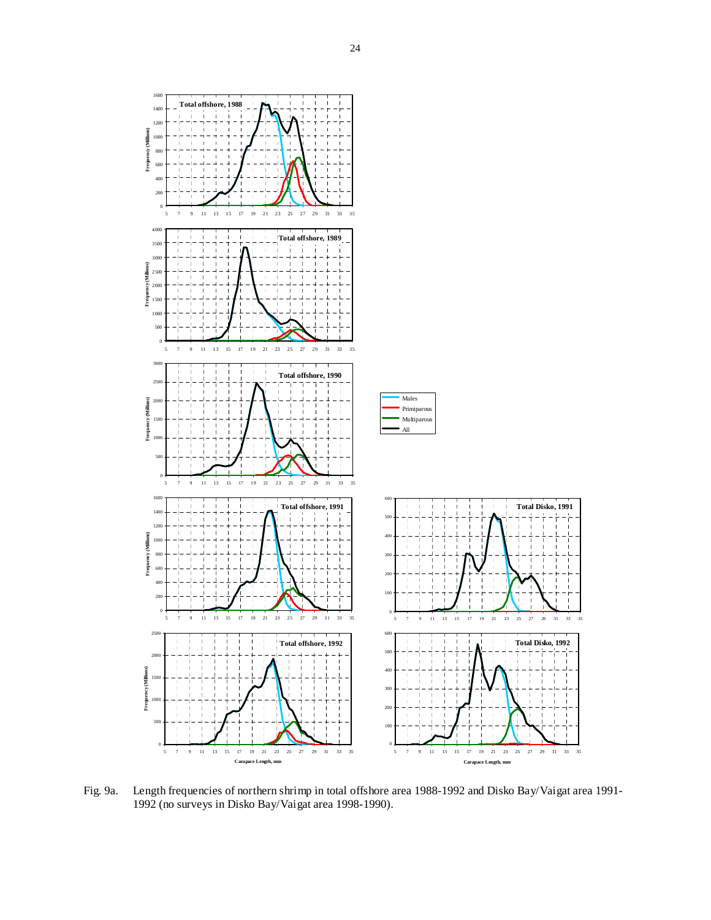

Fig. 9a. Length frequencies of northern shrimp in total offshore area 1988-1992 and Disko Bay/Vaigat area 1991- 1992 (no surveys in Disko Bay/Vaigat area 1998-1990).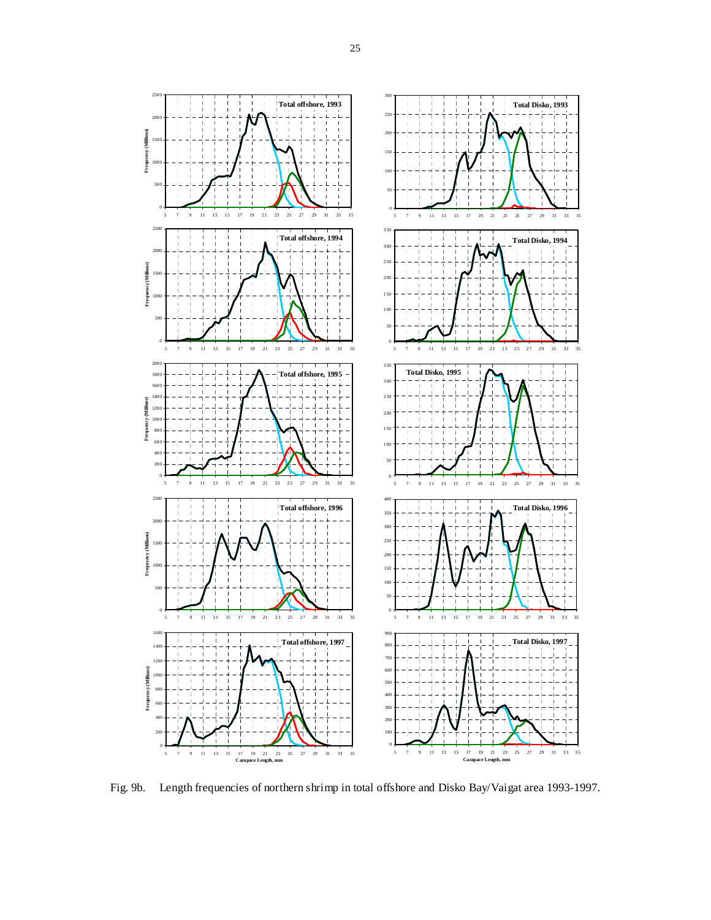

Fig. 9b. Length frequencies of northern shrimp in total offshore and Disko Bay/Vaigat area 1993-1997.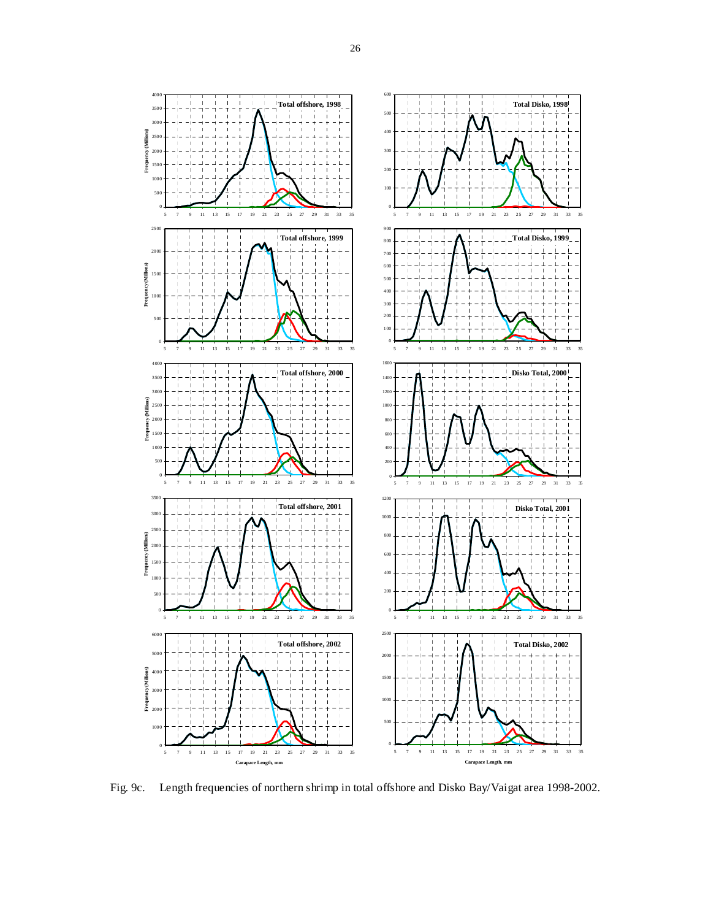

Fig. 9c. Length frequencies of northern shrimp in total offshore and Disko Bay/Vaigat area 1998-2002.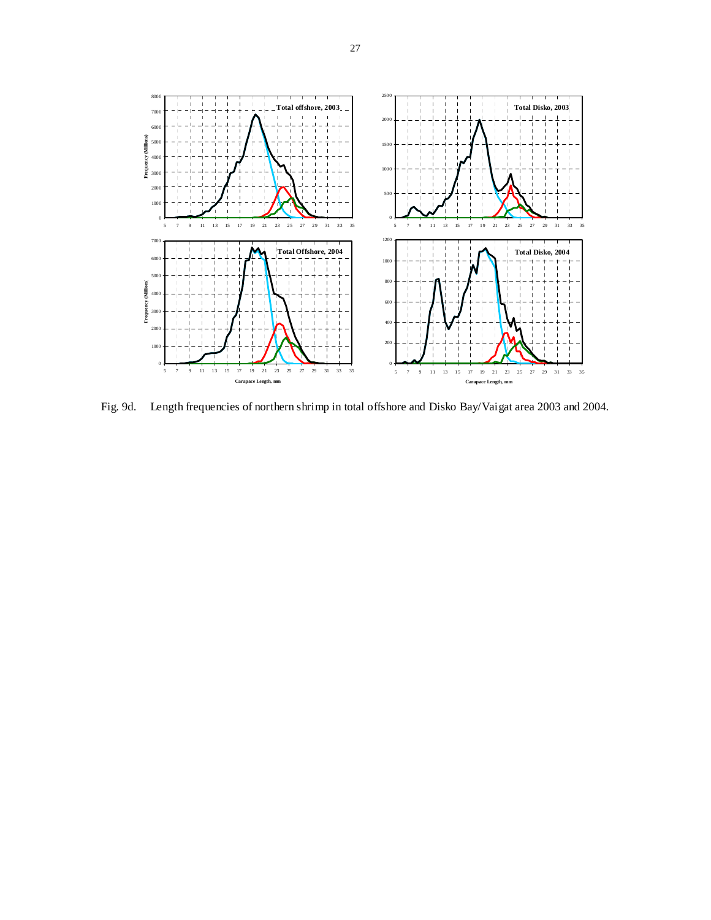

Fig. 9d. Length frequencies of northern shrimp in total offshore and Disko Bay/Vaigat area 2003 and 2004.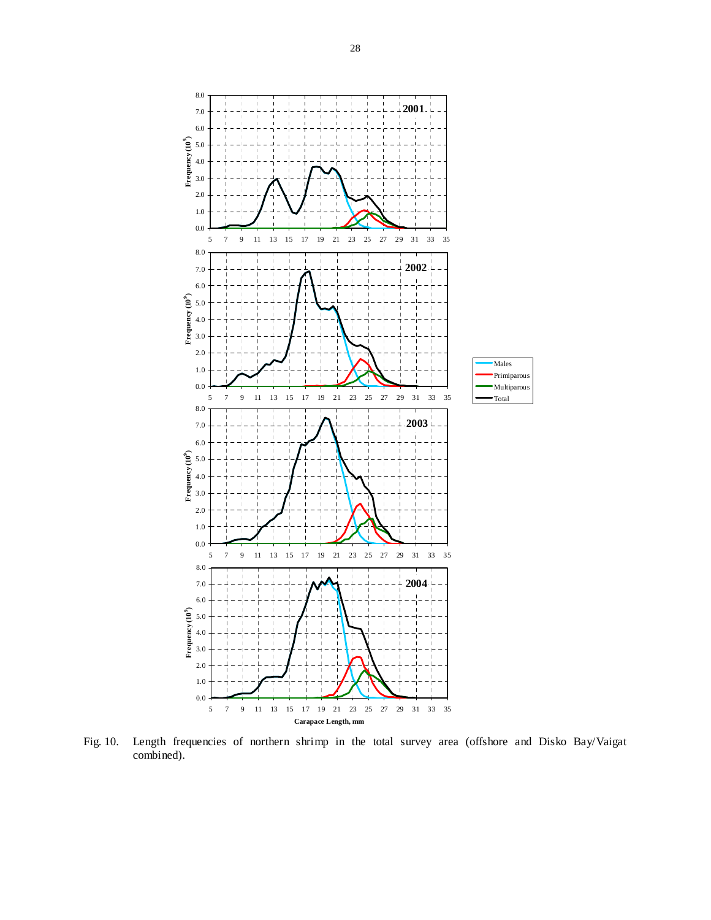

Fig. 10. Length frequencies of northern shrimp in the total survey area (offshore and Disko Bay/Vaigat combined).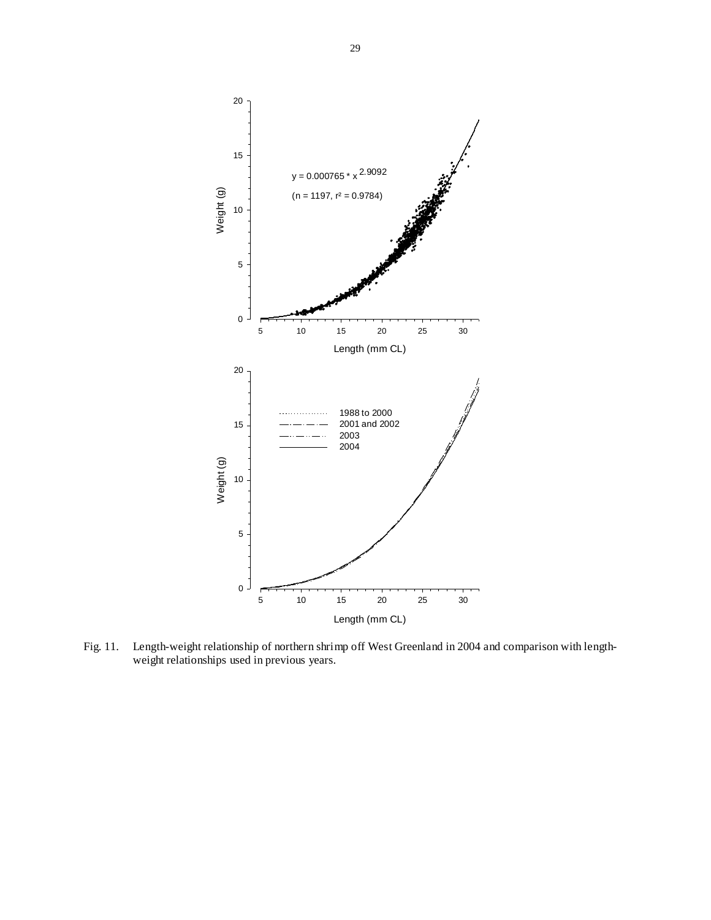

Fig. 11. Length-weight relationship of northern shrimp off West Greenland in 2004 and comparison with lengthweight relationships used in previous years.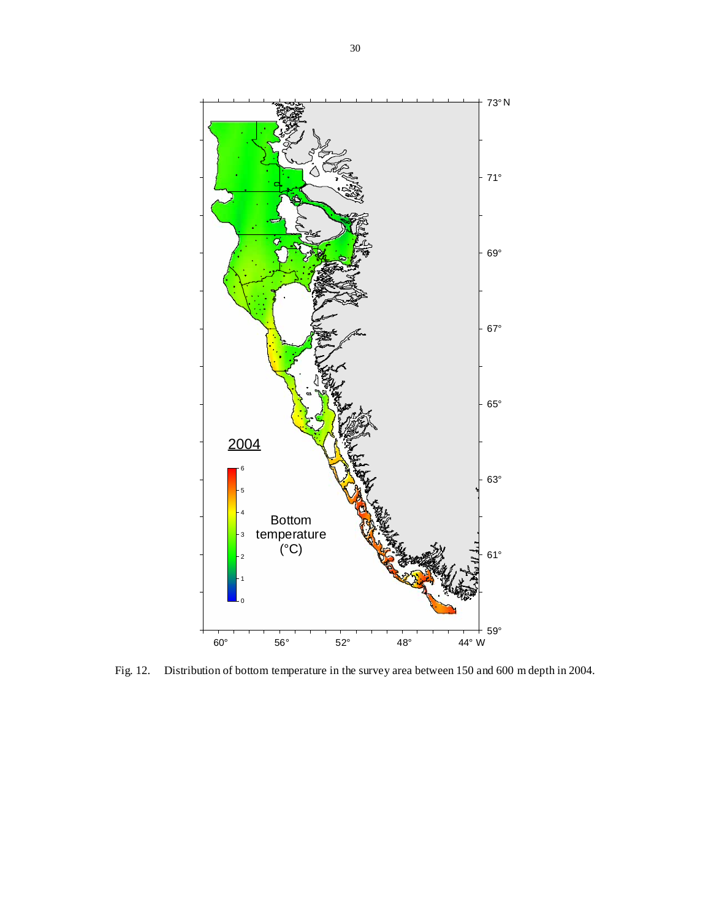

Fig. 12. Distribution of bottom temperature in the survey area between 150 and 600 m depth in 2004.